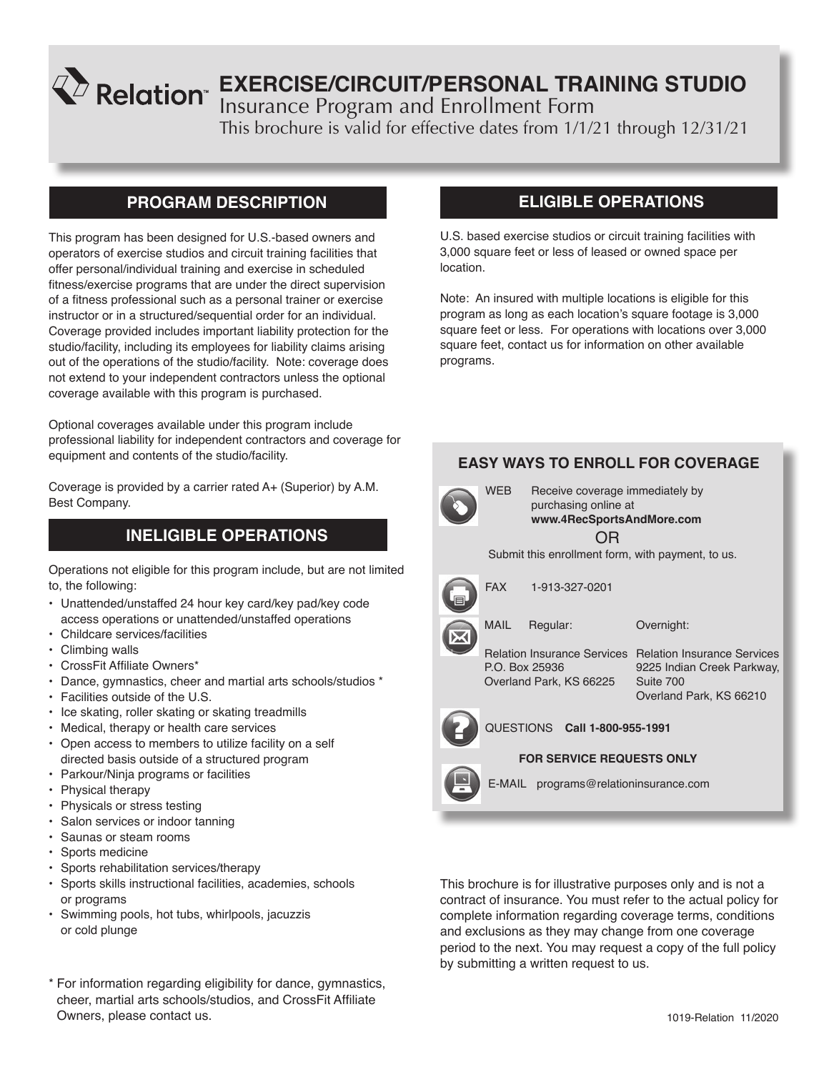# **EXERCISE/CIRCUIT/PERSONAL TRAINING STUDIO**

Insurance Program and Enrollment Form

This brochure is valid for effective dates from 1/1/21 through 12/31/21

# **PROGRAM DESCRIPTION**

This program has been designed for U.S.-based owners and operators of exercise studios and circuit training facilities that offer personal/individual training and exercise in scheduled fitness/exercise programs that are under the direct supervision of a fitness professional such as a personal trainer or exercise instructor or in a structured/sequential order for an individual. Coverage provided includes important liability protection for the studio/facility, including its employees for liability claims arising out of the operations of the studio/facility. Note: coverage does not extend to your independent contractors unless the optional coverage available with this program is purchased.

Optional coverages available under this program include professional liability for independent contractors and coverage for equipment and contents of the studio/facility.

Coverage is provided by a carrier rated A+ (Superior) by A.M. Best Company.

# **INELIGIBLE OPERATIONS**

Operations not eligible for this program include, but are not limited to, the following:

- Unattended/unstaffed 24 hour key card/key pad/key code access operations or unattended/unstaffed operations
- Childcare services/facilities
- Climbing walls
- CrossFit Affiliate Owners\*
- Dance, gymnastics, cheer and martial arts schools/studios \*
- Facilities outside of the U.S.
- Ice skating, roller skating or skating treadmills
- Medical, therapy or health care services
- Open access to members to utilize facility on a self directed basis outside of a structured program
- Parkour/Ninja programs or facilities
- Physical therapy
- Physicals or stress testing
- Salon services or indoor tanning
- Saunas or steam rooms
- Sports medicine
- Sports rehabilitation services/therapy
- Sports skills instructional facilities, academies, schools or programs
- Swimming pools, hot tubs, whirlpools, jacuzzis or cold plunge
- \* For information regarding eligibility for dance, gymnastics, cheer, martial arts schools/studios, and CrossFit Affiliate Owners, please contact us.

# **ELIGIBLE OPERATIONS**

U.S. based exercise studios or circuit training facilities with 3,000 square feet or less of leased or owned space per location.

Note: An insured with multiple locations is eligible for this program as long as each location's square footage is 3,000 square feet or less. For operations with locations over 3,000 square feet, contact us for information on other available programs.

# **EASY WAYS TO ENROLL FOR COVERAGE**



OR WEB Receive coverage immediately by purchasing online at **www.4RecSportsAndMore.com**

Submit this enrollment form, with payment, to us.



FAX 1-913-327-0201

P.O. Box 25936 Overland Park, KS 66225

Relation Insurance Services Relation Insurance Services 9225 Indian Creek Parkway, Suite 700 Overland Park, KS 66210

Overnight:



QUESTIONS **Call 1-800-955-1991**

#### **FOR SERVICE REQUESTS ONLY**

E-MAIL programs@relationinsurance.com

This brochure is for illustrative purposes only and is not a contract of insurance. You must refer to the actual policy for complete information regarding coverage terms, conditions and exclusions as they may change from one coverage period to the next. You may request a copy of the full policy by submitting a written request to us.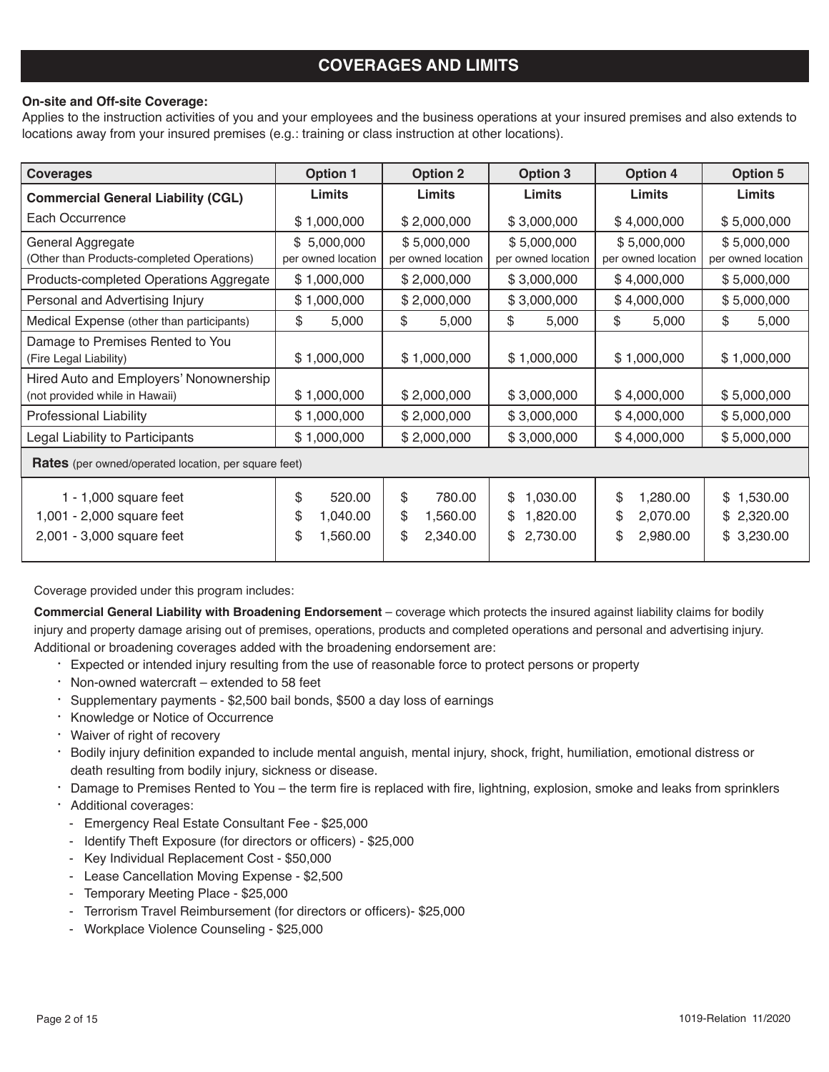# **COVERAGES AND LIMITS**

#### **On-site and Off-site Coverage:**

Applies to the instruction activities of you and your employees and the business operations at your insured premises and also extends to locations away from your insured premises (e.g.: training or class instruction at other locations).

| <b>Coverages</b>                                                                  | <b>Option 1</b>                                  | <b>Option 2</b>                                  | <b>Option 3</b>                                    | <b>Option 4</b>                                    | <b>Option 5</b>                        |
|-----------------------------------------------------------------------------------|--------------------------------------------------|--------------------------------------------------|----------------------------------------------------|----------------------------------------------------|----------------------------------------|
| <b>Commercial General Liability (CGL)</b>                                         | Limits                                           | Limits                                           | Limits<br>Limits                                   |                                                    | Limits                                 |
| Each Occurrence                                                                   | \$1,000,000                                      | \$2,000,000                                      | \$3,000,000                                        | \$4,000,000                                        | \$5,000,000                            |
| General Aggregate<br>(Other than Products-completed Operations)                   | \$5,000,000<br>per owned location                | \$5,000,000<br>per owned location                | \$5,000,000<br>per owned location                  | \$5,000,000<br>per owned location                  | \$5,000,000<br>per owned location      |
| Products-completed Operations Aggregate                                           | \$1,000,000                                      | \$2,000,000                                      | \$3,000,000                                        | \$4,000,000                                        | \$5,000,000                            |
| Personal and Advertising Injury                                                   | \$1,000,000                                      | \$2,000,000                                      | \$3,000,000                                        | \$4,000,000                                        | \$5,000,000                            |
| Medical Expense (other than participants)                                         | \$<br>5,000                                      | \$<br>5,000                                      | \$<br>5,000                                        | \$<br>5,000                                        | \$<br>5,000                            |
| Damage to Premises Rented to You<br>(Fire Legal Liability)                        | \$1,000,000                                      | \$1,000,000                                      | \$1,000,000                                        | \$1,000,000                                        | \$1,000,000                            |
| Hired Auto and Employers' Nonownership<br>(not provided while in Hawaii)          | \$1,000,000                                      | \$2,000,000                                      | \$3,000,000                                        | \$4,000,000                                        | \$5,000,000                            |
| <b>Professional Liability</b>                                                     | \$1,000,000                                      | \$2,000,000                                      | \$3,000,000                                        | \$4,000,000                                        | \$5,000,000                            |
| Legal Liability to Participants                                                   | \$1,000,000                                      | \$2,000,000                                      | \$3,000,000                                        | \$4,000,000                                        | \$5,000,000                            |
| <b>Rates</b> (per owned/operated location, per square feet)                       |                                                  |                                                  |                                                    |                                                    |                                        |
| 1 - $1,000$ square feet<br>1,001 - 2,000 square feet<br>2,001 - 3,000 square feet | \$<br>520.00<br>\$<br>1,040.00<br>\$<br>1,560.00 | \$<br>780.00<br>\$<br>1,560.00<br>\$<br>2,340.00 | 1,030.00<br>\$<br>\$<br>1,820.00<br>\$<br>2,730.00 | \$<br>1,280.00<br>\$<br>2,070.00<br>\$<br>2,980.00 | \$1,530.00<br>\$2,320.00<br>\$3,230.00 |

Coverage provided under this program includes:

**Commercial General Liability with Broadening Endorsement** – coverage which protects the insured against liability claims for bodily injury and property damage arising out of premises, operations, products and completed operations and personal and advertising injury. Additional or broadening coverages added with the broadening endorsement are:

- · Expected or intended injury resulting from the use of reasonable force to protect persons or property
- · Non-owned watercraft extended to 58 feet
- · Supplementary payments \$2,500 bail bonds, \$500 a day loss of earnings
- · Knowledge or Notice of Occurrence
- · Waiver of right of recovery
- · Bodily injury definition expanded to include mental anguish, mental injury, shock, fright, humiliation, emotional distress or death resulting from bodily injury, sickness or disease.
- · Damage to Premises Rented to You the term fire is replaced with fire, lightning, explosion, smoke and leaks from sprinklers
- · Additional coverages:
	- Emergency Real Estate Consultant Fee \$25,000
	- Identify Theft Exposure (for directors or officers) \$25,000
	- Key Individual Replacement Cost \$50,000
	- Lease Cancellation Moving Expense \$2,500
	- Temporary Meeting Place \$25,000
	- Terrorism Travel Reimbursement (for directors or officers)- \$25,000
	- Workplace Violence Counseling \$25,000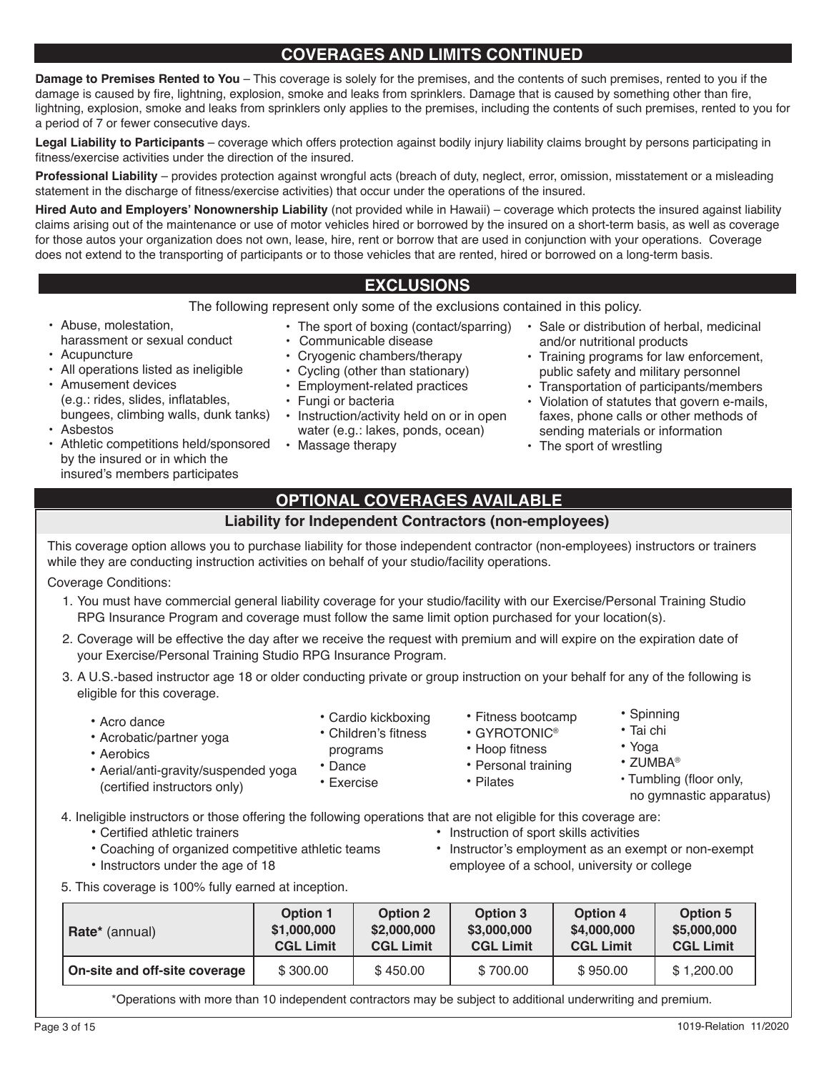# **COVERAGES AND LIMITS CONTINUED**

**Damage to Premises Rented to You** – This coverage is solely for the premises, and the contents of such premises, rented to you if the damage is caused by fire, lightning, explosion, smoke and leaks from sprinklers. Damage that is caused by something other than fire, lightning, explosion, smoke and leaks from sprinklers only applies to the premises, including the contents of such premises, rented to you for a period of 7 or fewer consecutive days.

**Legal Liability to Participants** – coverage which offers protection against bodily injury liability claims brought by persons participating in fitness/exercise activities under the direction of the insured.

**Professional Liability** – provides protection against wrongful acts (breach of duty, neglect, error, omission, misstatement or a misleading statement in the discharge of fitness/exercise activities) that occur under the operations of the insured.

**Hired Auto and Employers' Nonownership Liability** (not provided while in Hawaii) – coverage which protects the insured against liability claims arising out of the maintenance or use of motor vehicles hired or borrowed by the insured on a short-term basis, as well as coverage for those autos your organization does not own, lease, hire, rent or borrow that are used in conjunction with your operations. Coverage does not extend to the transporting of participants or to those vehicles that are rented, hired or borrowed on a long-term basis.

# **EXCLUSIONS**

The following represent only some of the exclusions contained in this policy.

- Abuse, molestation, harassment or sexual conduct
- Acupuncture
- All operations listed as ineligible
- Amusement devices (e.g.: rides, slides, inflatables, bungees, climbing walls, dunk tanks)
- Asbestos
- Athletic competitions held/sponsored by the insured or in which the insured's members participates
- 
- Communicable disease
- Cryogenic chambers/therapy
- Cycling (other than stationary)
- Employment-related practices
- Fungi or bacteria
- Instruction/activity held on or in open water (e.g.: lakes, ponds, ocean)
- Massage therapy
- The sport of boxing (contact/sparring) Sale or distribution of herbal, medicinal and/or nutritional products
	- Training programs for law enforcement, public safety and military personnel
	- Transportation of participants/members
	- Violation of statutes that govern e-mails, faxes, phone calls or other methods of sending materials or information
	- The sport of wrestling

# **OPTIONAL COVERAGES AVAILABLE**

#### **Liability for Independent Contractors (non-employees)**

This coverage option allows you to purchase liability for those independent contractor (non-employees) instructors or trainers while they are conducting instruction activities on behalf of your studio/facility operations.

Coverage Conditions:

- 1. You must have commercial general liability coverage for your studio/facility with our Exercise/Personal Training Studio RPG Insurance Program and coverage must follow the same limit option purchased for your location(s).
- 2. Coverage will be effective the day after we receive the request with premium and will expire on the expiration date of your Exercise/Personal Training Studio RPG Insurance Program.
- 3. A U.S.-based instructor age 18 or older conducting private or group instruction on your behalf for any of the following is eligible for this coverage.
	- Acro dance

• Aerobics

- Cardio kickboxing • Children's fitness
- Acrobatic/partner yoga

• Aerial/anti-gravity/suspended yoga

- programs
	- Dance
	- Exercise
- Hoop fitness • Personal training

• Fitness bootcamp • GYROTONIC®

- Pilates
	-
- 4. Ineligible instructors or those offering the following operations that are not eligible for this coverage are:
	-

(certified instructors only)

- Certified athletic trainers Instruction of sport skills activities<br>• Coaching of organized competitive athletic teams Instructor's employment as an exe
- 
- 
- Coaching of organized competitive athletic teams Instructor's employment as an exempt or non-exempt<br>• Instructors under the age of 18 **Fig. 1998** Instructors under the age of 18 employee of a school, university or college
- 5. This coverage is 100% fully earned at inception.

| Rate* (annual)                | <b>Option 1</b>  | <b>Option 2</b>  |          | <b>Option 4</b>  | Option 5         |  |
|-------------------------------|------------------|------------------|----------|------------------|------------------|--|
|                               | \$1,000,000      | \$2,000,000      |          | \$4,000,000      | \$5,000,000      |  |
|                               | <b>CGL Limit</b> | <b>CGL Limit</b> |          | <b>CGL Limit</b> | <b>CGL Limit</b> |  |
| On-site and off-site coverage | \$300.00         | \$450.00         | \$700.00 | \$950.00         | \$1,200.00       |  |

\*Operations with more than 10 independent contractors may be subject to additional underwriting and premium.

- 
- 
- Yoga
- ZUMBA®
- Tumbling (floor only, no gymnastic apparatus)
- 
- Spinning • Tai chi
-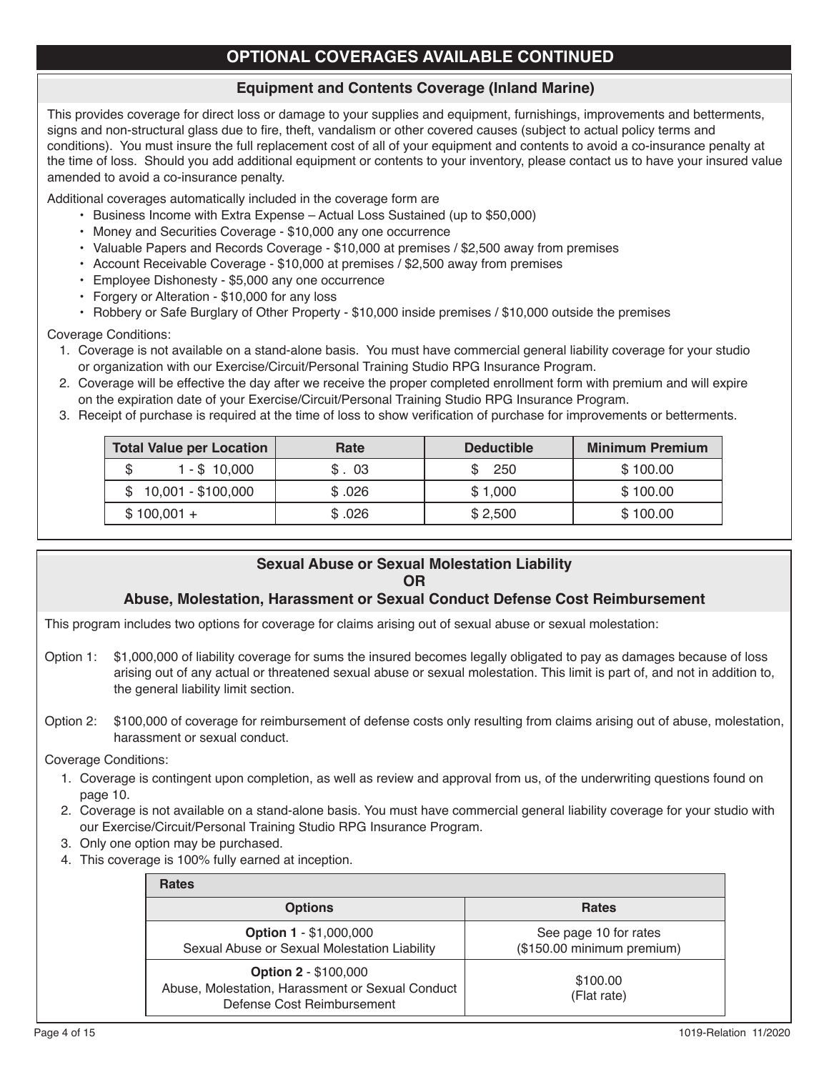# **OPTIONAL COVERAGES AVAILABLE CONTINUED**

### **Equipment and Contents Coverage (Inland Marine)**

This provides coverage for direct loss or damage to your supplies and equipment, furnishings, improvements and betterments, signs and non-structural glass due to fire, theft, vandalism or other covered causes (subject to actual policy terms and conditions). You must insure the full replacement cost of all of your equipment and contents to avoid a co-insurance penalty at the time of loss. Should you add additional equipment or contents to your inventory, please contact us to have your insured value amended to avoid a co-insurance penalty.

Additional coverages automatically included in the coverage form are

- Business Income with Extra Expense Actual Loss Sustained (up to \$50,000)
- Money and Securities Coverage \$10,000 any one occurrence
- Valuable Papers and Records Coverage \$10,000 at premises / \$2,500 away from premises
- Account Receivable Coverage \$10,000 at premises / \$2,500 away from premises
- Employee Dishonesty \$5,000 any one occurrence
- Forgery or Alteration \$10,000 for any loss
- Robbery or Safe Burglary of Other Property \$10,000 inside premises / \$10,000 outside the premises

Coverage Conditions:

- 1. Coverage is not available on a stand-alone basis. You must have commercial general liability coverage for your studio or organization with our Exercise/Circuit/Personal Training Studio RPG Insurance Program.
- 2. Coverage will be effective the day after we receive the proper completed enrollment form with premium and will expire on the expiration date of your Exercise/Circuit/Personal Training Studio RPG Insurance Program.
- 3. Receipt of purchase is required at the time of loss to show verification of purchase for improvements or betterments.

| <b>Total Value per Location</b> | Rate   | <b>Deductible</b> | <b>Minimum Premium</b> |
|---------------------------------|--------|-------------------|------------------------|
| 1 - \$ 10,000                   | \$.03  | 250               | \$100.00               |
| 10,001 - \$100,000              | \$.026 | \$1,000           | \$100.00               |
| $$100,001 +$                    | \$.026 | \$2,500           | \$100.00               |

# **Sexual Abuse or Sexual Molestation Liability OR**

#### **Abuse, Molestation, Harassment or Sexual Conduct Defense Cost Reimbursement**

This program includes two options for coverage for claims arising out of sexual abuse or sexual molestation:

- Option 1: \$1,000,000 of liability coverage for sums the insured becomes legally obligated to pay as damages because of loss arising out of any actual or threatened sexual abuse or sexual molestation. This limit is part of, and not in addition to, the general liability limit section.
- Option 2: \$100,000 of coverage for reimbursement of defense costs only resulting from claims arising out of abuse, molestation, harassment or sexual conduct.

Coverage Conditions:

- 1. Coverage is contingent upon completion, as well as review and approval from us, of the underwriting questions found on page 10.
- 2. Coverage is not available on a stand-alone basis. You must have commercial general liability coverage for your studio with our Exercise/Circuit/Personal Training Studio RPG Insurance Program.
- 3. Only one option may be purchased.
- 4. This coverage is 100% fully earned at inception.

| <b>Rates</b>                                                                                                  |                                                     |
|---------------------------------------------------------------------------------------------------------------|-----------------------------------------------------|
| <b>Options</b>                                                                                                | <b>Rates</b>                                        |
| <b>Option 1 - \$1,000,000</b><br>Sexual Abuse or Sexual Molestation Liability                                 | See page 10 for rates<br>(\$150.00 minimum premium) |
| <b>Option 2 - \$100,000</b><br>Abuse, Molestation, Harassment or Sexual Conduct<br>Defense Cost Reimbursement | \$100.00<br>(Flat rate)                             |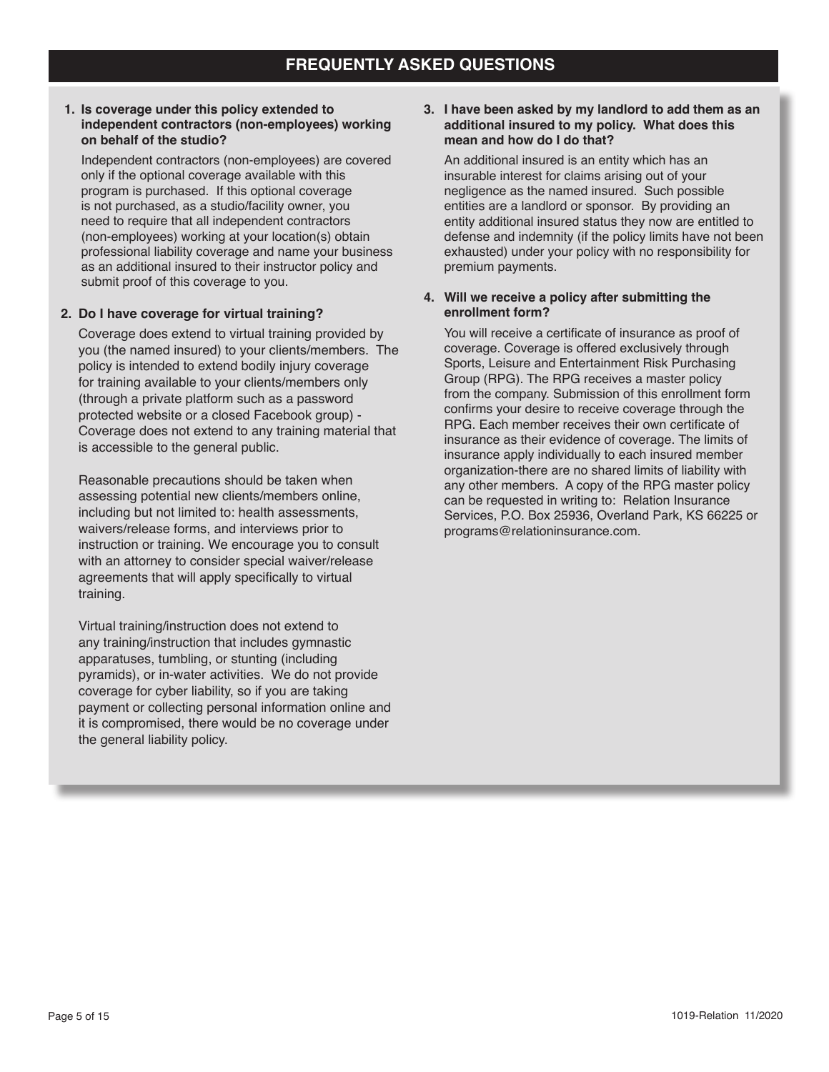#### **1. Is coverage under this policy extended to independent contractors (non-employees) working on behalf of the studio?**

Independent contractors (non-employees) are covered only if the optional coverage available with this program is purchased. If this optional coverage is not purchased, as a studio/facility owner, you need to require that all independent contractors (non-employees) working at your location(s) obtain professional liability coverage and name your business as an additional insured to their instructor policy and submit proof of this coverage to you.

#### **2. Do I have coverage for virtual training?**

Coverage does extend to virtual training provided by you (the named insured) to your clients/members. The policy is intended to extend bodily injury coverage for training available to your clients/members only (through a private platform such as a password protected website or a closed Facebook group) - Coverage does not extend to any training material that is accessible to the general public.

Reasonable precautions should be taken when assessing potential new clients/members online, including but not limited to: health assessments, waivers/release forms, and interviews prior to instruction or training. We encourage you to consult with an attorney to consider special waiver/release agreements that will apply specifically to virtual training.

Virtual training/instruction does not extend to any training/instruction that includes gymnastic apparatuses, tumbling, or stunting (including pyramids), or in-water activities. We do not provide coverage for cyber liability, so if you are taking payment or collecting personal information online and it is compromised, there would be no coverage under the general liability policy.

#### **3. I have been asked by my landlord to add them as an additional insured to my policy. What does this mean and how do I do that?**

An additional insured is an entity which has an insurable interest for claims arising out of your negligence as the named insured. Such possible entities are a landlord or sponsor. By providing an entity additional insured status they now are entitled to defense and indemnity (if the policy limits have not been exhausted) under your policy with no responsibility for premium payments.

#### **4. Will we receive a policy after submitting the enrollment form?**

You will receive a certificate of insurance as proof of coverage. Coverage is offered exclusively through Sports, Leisure and Entertainment Risk Purchasing Group (RPG). The RPG receives a master policy from the company. Submission of this enrollment form confirms your desire to receive coverage through the RPG. Each member receives their own certificate of insurance as their evidence of coverage. The limits of insurance apply individually to each insured member organization-there are no shared limits of liability with any other members. A copy of the RPG master policy can be requested in writing to: Relation Insurance Services, P.O. Box 25936, Overland Park, KS 66225 or programs@relationinsurance.com.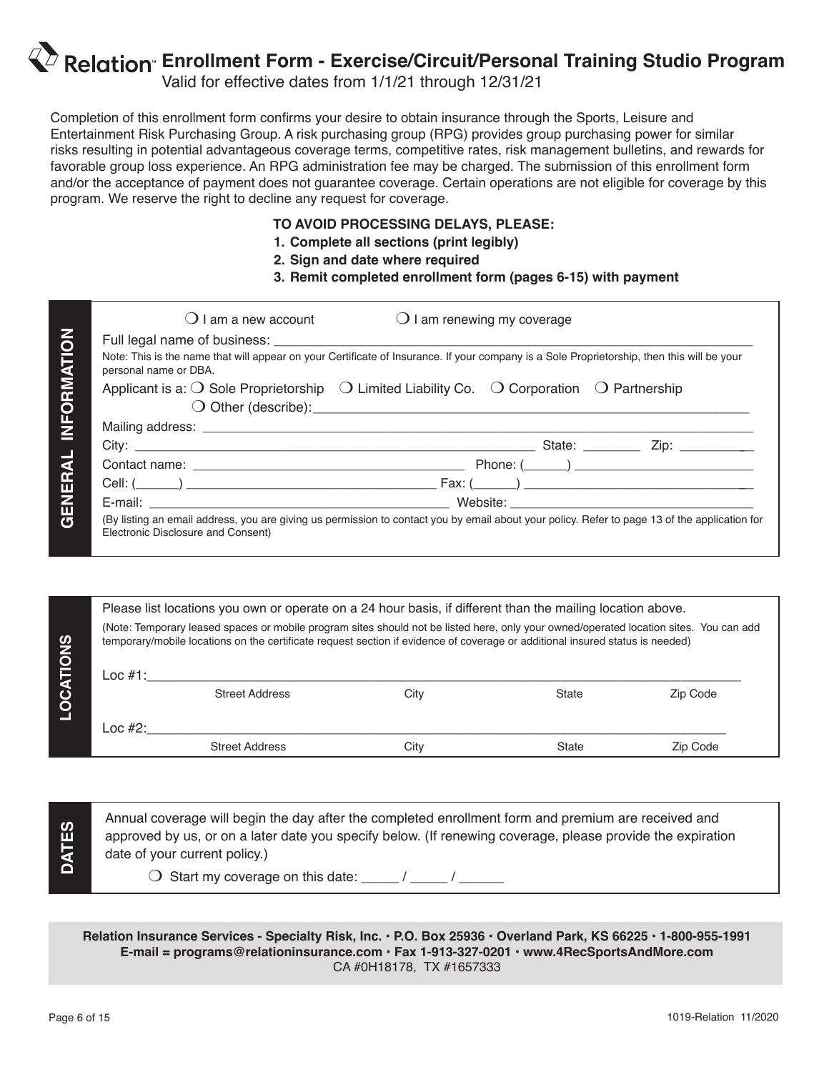# $\mathbb{Z}$  Relation Enrollment Form - Exercise/Circuit/Personal Training Studio Program

Valid for effective dates from 1/1/21 through 12/31/21

Completion of this enrollment form confirms your desire to obtain insurance through the Sports, Leisure and Entertainment Risk Purchasing Group. A risk purchasing group (RPG) provides group purchasing power for similar risks resulting in potential advantageous coverage terms, competitive rates, risk management bulletins, and rewards for favorable group loss experience. An RPG administration fee may be charged. The submission of this enrollment form and/or the acceptance of payment does not guarantee coverage. Certain operations are not eligible for coverage by this program. We reserve the right to decline any request for coverage.

### **TO AVOID PROCESSING DELAYS, PLEASE:**

- **1. Complete all sections (print legibly)**
- **2. Sign and date where required**
- **3. Remit completed enrollment form (pages 6-15) with payment**

| personal name or DBA. | Note: This is the name that will appear on your Certificate of Insurance. If your company is a Sole Proprietorship, then this will be your |  |  |
|-----------------------|--------------------------------------------------------------------------------------------------------------------------------------------|--|--|
|                       | Applicant is a: $\bigcirc$ Sole Proprietorship $\bigcirc$ Limited Liability Co. $\bigcirc$ Corporation $\bigcirc$ Partnership              |  |  |
|                       |                                                                                                                                            |  |  |
|                       |                                                                                                                                            |  |  |
|                       |                                                                                                                                            |  |  |
|                       |                                                                                                                                            |  |  |
|                       |                                                                                                                                            |  |  |

|                  |                          | Please list locations you own or operate on a 24 hour basis, if different than the mailing location above.<br>(Note: Temporary leased spaces or mobile program sites should not be listed here, only your owned/operated location sites. You can add<br>temporary/mobile locations on the certificate request section if evidence of coverage or additional insured status is needed) |      |       |          |
|------------------|--------------------------|---------------------------------------------------------------------------------------------------------------------------------------------------------------------------------------------------------------------------------------------------------------------------------------------------------------------------------------------------------------------------------------|------|-------|----------|
| <b>LOCATIONS</b> | Loc $#1$ :<br>Loc $#2$ : | <b>Street Address</b>                                                                                                                                                                                                                                                                                                                                                                 | City | State | Zip Code |
|                  |                          | <b>Street Address</b>                                                                                                                                                                                                                                                                                                                                                                 | City | State | Zip Code |

**DATES**

Annual coverage will begin the day after the completed enrollment form and premium are received and approved by us, or on a later date you specify below. (If renewing coverage, please provide the expiration date of your current policy.)

 $\bigcirc$  Start my coverage on this date: \_\_\_\_\_ / \_\_\_\_\_ / \_\_\_\_\_\_

**Relation Insurance Services - Specialty Risk, Inc. • P.O. Box 25936 • Overland Park, KS 66225 • 1-800-955-1991 E-mail = programs@relationinsurance.com • Fax 1-913-327-0201 • www.4RecSportsAndMore.com** CA #0H18178, TX #1657333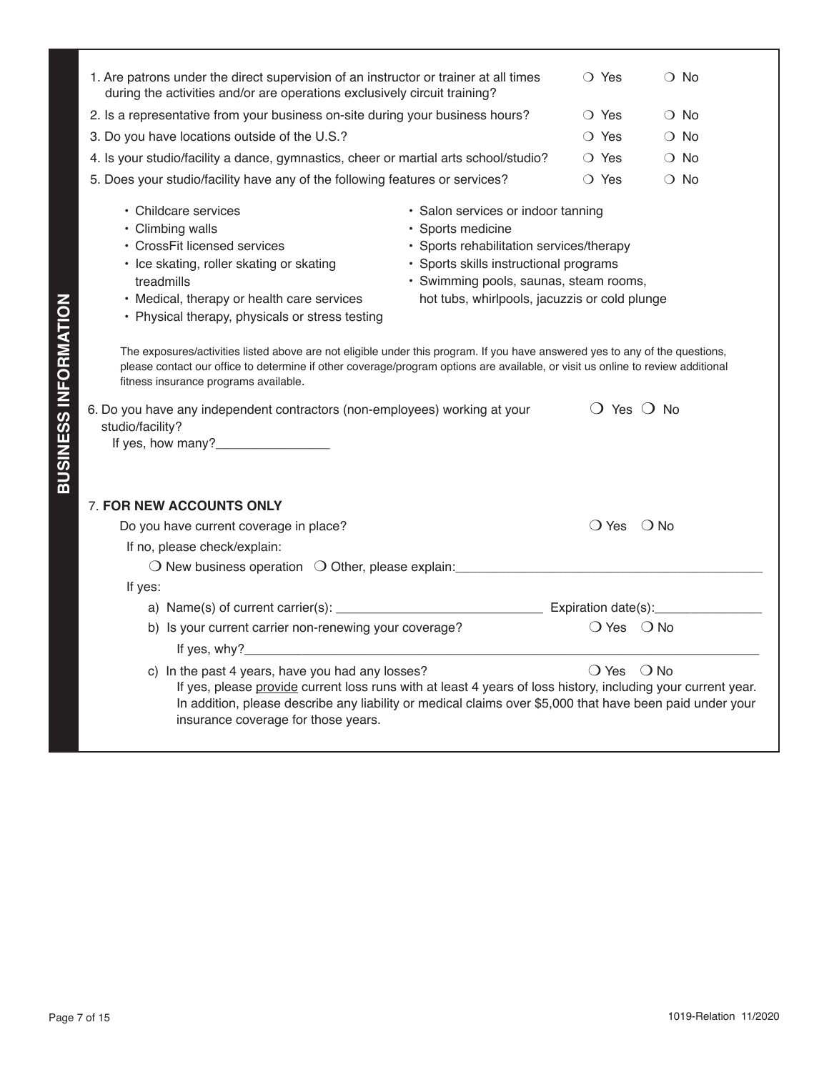|                             | 1. Are patrons under the direct supervision of an instructor or trainer at all times<br>during the activities and/or are operations exclusively circuit training?                                                                                                                                                                                                                                                                                                                                                                                                                                                                                                                                                                                                                                                                                                                             | $\bigcirc$ Yes |                              | $\bigcirc$ No         |
|-----------------------------|-----------------------------------------------------------------------------------------------------------------------------------------------------------------------------------------------------------------------------------------------------------------------------------------------------------------------------------------------------------------------------------------------------------------------------------------------------------------------------------------------------------------------------------------------------------------------------------------------------------------------------------------------------------------------------------------------------------------------------------------------------------------------------------------------------------------------------------------------------------------------------------------------|----------------|------------------------------|-----------------------|
|                             | 2. Is a representative from your business on-site during your business hours?                                                                                                                                                                                                                                                                                                                                                                                                                                                                                                                                                                                                                                                                                                                                                                                                                 | $\bigcirc$ Yes |                              | $\bigcirc$ No         |
|                             | 3. Do you have locations outside of the U.S.?                                                                                                                                                                                                                                                                                                                                                                                                                                                                                                                                                                                                                                                                                                                                                                                                                                                 | $\bigcirc$ Yes |                              | $\bigcirc$ No         |
|                             | 4. Is your studio/facility a dance, gymnastics, cheer or martial arts school/studio?                                                                                                                                                                                                                                                                                                                                                                                                                                                                                                                                                                                                                                                                                                                                                                                                          | $\bigcirc$ Yes |                              | $\bigcirc$ No         |
|                             | 5. Does your studio/facility have any of the following features or services?                                                                                                                                                                                                                                                                                                                                                                                                                                                                                                                                                                                                                                                                                                                                                                                                                  | $\bigcirc$ Yes |                              | $\bigcirc$ No         |
| <b>BUSINESS INFORMATION</b> | • Childcare services<br>· Salon services or indoor tanning<br>• Climbing walls<br>· Sports medicine<br>• CrossFit licensed services<br>• Sports rehabilitation services/therapy<br>· Sports skills instructional programs<br>• Ice skating, roller skating or skating<br>· Swimming pools, saunas, steam rooms,<br>treadmills<br>hot tubs, whirlpools, jacuzzis or cold plunge<br>• Medical, therapy or health care services<br>• Physical therapy, physicals or stress testing<br>The exposures/activities listed above are not eligible under this program. If you have answered yes to any of the questions,<br>please contact our office to determine if other coverage/program options are available, or visit us online to review additional<br>fitness insurance programs available.<br>6. Do you have any independent contractors (non-employees) working at your<br>studio/facility? |                | $\bigcirc$ Yes $\bigcirc$ No |                       |
|                             | 7. FOR NEW ACCOUNTS ONLY<br>Do you have current coverage in place?<br>If no, please check/explain:<br>O New business operation O Other, please explain: ______________________________<br>If yes:                                                                                                                                                                                                                                                                                                                                                                                                                                                                                                                                                                                                                                                                                             |                | $\bigcirc$ Yes $\bigcirc$ No |                       |
|                             | b) Is your current carrier non-renewing your coverage?                                                                                                                                                                                                                                                                                                                                                                                                                                                                                                                                                                                                                                                                                                                                                                                                                                        |                | $\bigcirc$ Yes $\bigcirc$ No |                       |
|                             |                                                                                                                                                                                                                                                                                                                                                                                                                                                                                                                                                                                                                                                                                                                                                                                                                                                                                               |                |                              |                       |
|                             | c) In the past 4 years, have you had any losses?                                                                                                                                                                                                                                                                                                                                                                                                                                                                                                                                                                                                                                                                                                                                                                                                                                              |                | O Yes O No                   |                       |
|                             | If yes, please provide current loss runs with at least 4 years of loss history, including your current year.<br>In addition, please describe any liability or medical claims over \$5,000 that have been paid under your<br>insurance coverage for those years.                                                                                                                                                                                                                                                                                                                                                                                                                                                                                                                                                                                                                               |                |                              |                       |
|                             |                                                                                                                                                                                                                                                                                                                                                                                                                                                                                                                                                                                                                                                                                                                                                                                                                                                                                               |                |                              |                       |
|                             |                                                                                                                                                                                                                                                                                                                                                                                                                                                                                                                                                                                                                                                                                                                                                                                                                                                                                               |                |                              |                       |
|                             |                                                                                                                                                                                                                                                                                                                                                                                                                                                                                                                                                                                                                                                                                                                                                                                                                                                                                               |                |                              |                       |
|                             |                                                                                                                                                                                                                                                                                                                                                                                                                                                                                                                                                                                                                                                                                                                                                                                                                                                                                               |                |                              |                       |
|                             | Page 7 of 15                                                                                                                                                                                                                                                                                                                                                                                                                                                                                                                                                                                                                                                                                                                                                                                                                                                                                  |                |                              | 1019-Relation 11/2020 |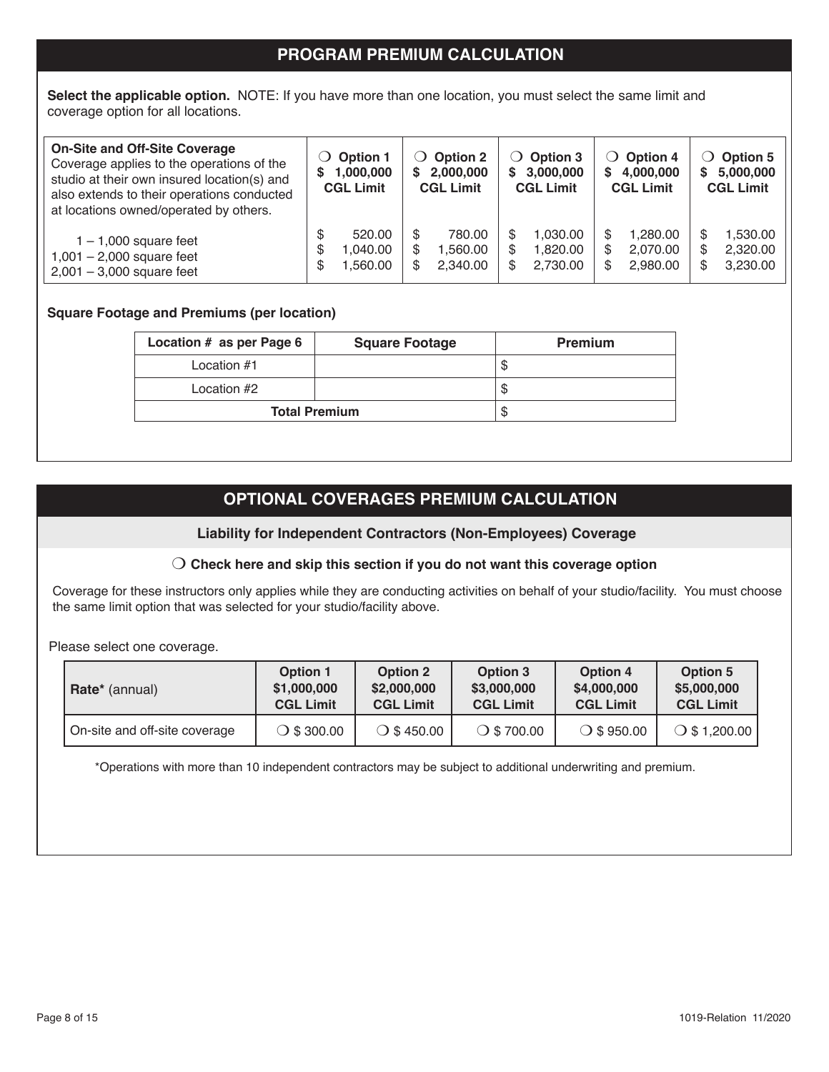# **PROGRAM PREMIUM CALCULATION**

**Select the applicable option.** NOTE: If you have more than one location, you must select the same limit and coverage option for all locations.

| <b>On-Site and Off-Site Coverage</b><br>Coverage applies to the operations of the<br>studio at their own insured location(s) and<br>also extends to their operations conducted<br>at locations owned/operated by others. | <b>Option 1</b><br>$\lambda$<br>1,000,000<br>S<br><b>CGL Limit</b> | $\bigcirc$ Option 2<br>2,000,000<br>S<br><b>CGL Limit</b> | $\bigcirc$ Option 3<br>\$3,000,000<br><b>CGL Limit</b> | $\bigcirc$ Option 4<br>\$4,000,000<br><b>CGL Limit</b> | Option 5<br>5,000,000<br>S.<br><b>CGL Limit</b>   |
|--------------------------------------------------------------------------------------------------------------------------------------------------------------------------------------------------------------------------|--------------------------------------------------------------------|-----------------------------------------------------------|--------------------------------------------------------|--------------------------------------------------------|---------------------------------------------------|
| $1 - 1,000$ square feet<br>$1,001 - 2,000$ square feet<br>$2,001 - 3,000$ square feet                                                                                                                                    | 520.00<br>040.00<br>S<br>.560.00<br>S                              | 780.00<br>1.560.00<br>S<br>2.340.00                       | 1,030.00<br>1.820.00<br>2,730.00<br>S.                 | 1.280.00<br>2.070.00<br>2.980.00                       | 1,530.00<br>S<br>2,320.00<br>\$<br>3,230.00<br>\$ |

#### **Square Footage and Premiums (per location)**

l

| Location # as per Page 6 | <b>Square Footage</b> | <b>Premium</b> |
|--------------------------|-----------------------|----------------|
| Location $#1$            |                       | Φ              |
| Location #2              |                       | D              |
| <b>Total Premium</b>     |                       |                |

# **OPTIONAL COVERAGES PREMIUM CALCULATION**

**Liability for Independent Contractors (Non-Employees) Coverage**

#### m **Check here and skip this section if you do not want this coverage option**

Coverage for these instructors only applies while they are conducting activities on behalf of your studio/facility. You must choose the same limit option that was selected for your studio/facility above.

Please select one coverage.

| <b>Rate</b> * (annual)        | <b>Option 1</b><br>\$1,000,000<br><b>CGL Limit</b> | Option 3<br><b>Option 2</b><br>\$3,000,000<br>\$2,000,000<br><b>CGL Limit</b><br><b>CGL Limit</b> |                      | <b>Option 4</b><br>\$4,000,000<br><b>CGL Limit</b> | Option 5<br>\$5,000,000<br><b>CGL Limit</b> |
|-------------------------------|----------------------------------------------------|---------------------------------------------------------------------------------------------------|----------------------|----------------------------------------------------|---------------------------------------------|
| On-site and off-site coverage | $\bigcirc$ \$ 300.00                               | $\bigcirc$ \$ 450.00                                                                              | $\bigcirc$ \$ 700.00 | $\bigcirc$ \$ 950.00                               | $\bigcirc$ \$ 1,200.00                      |

\*Operations with more than 10 independent contractors may be subject to additional underwriting and premium.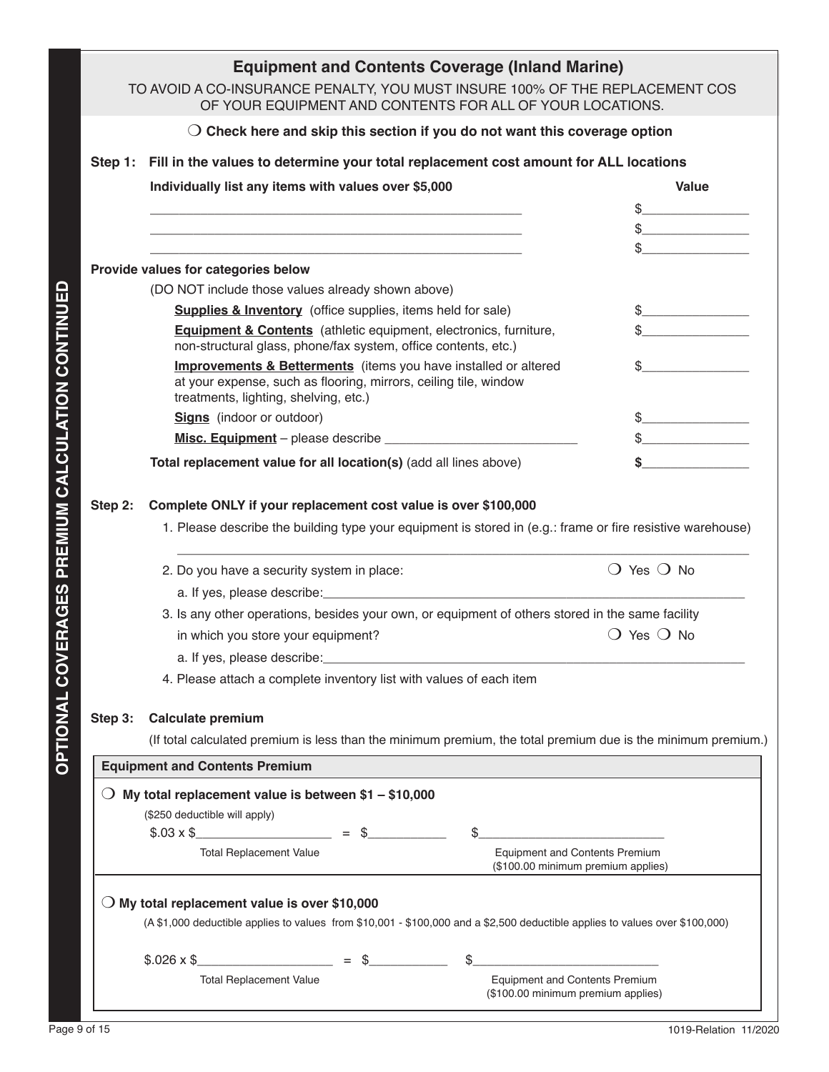|         | <b>Equipment and Contents Coverage (Inland Marine)</b>                                                                                                                                                                                                                                                                                                          |                                                                                                                                                                                                                                                                                                                                               |
|---------|-----------------------------------------------------------------------------------------------------------------------------------------------------------------------------------------------------------------------------------------------------------------------------------------------------------------------------------------------------------------|-----------------------------------------------------------------------------------------------------------------------------------------------------------------------------------------------------------------------------------------------------------------------------------------------------------------------------------------------|
|         | TO AVOID A CO-INSURANCE PENALTY, YOU MUST INSURE 100% OF THE REPLACEMENT COS<br>OF YOUR EQUIPMENT AND CONTENTS FOR ALL OF YOUR LOCATIONS.                                                                                                                                                                                                                       |                                                                                                                                                                                                                                                                                                                                               |
|         | $\bigcirc$ Check here and skip this section if you do not want this coverage option                                                                                                                                                                                                                                                                             |                                                                                                                                                                                                                                                                                                                                               |
|         | Step 1: Fill in the values to determine your total replacement cost amount for ALL locations                                                                                                                                                                                                                                                                    |                                                                                                                                                                                                                                                                                                                                               |
|         | Individually list any items with values over \$5,000                                                                                                                                                                                                                                                                                                            | Value                                                                                                                                                                                                                                                                                                                                         |
|         |                                                                                                                                                                                                                                                                                                                                                                 | $\frac{1}{2}$                                                                                                                                                                                                                                                                                                                                 |
|         | the control of the control of the control of the control of the control of the control of the control of the control of the control of the control of the control of the control of the control of the control of the control                                                                                                                                   |                                                                                                                                                                                                                                                                                                                                               |
|         |                                                                                                                                                                                                                                                                                                                                                                 |                                                                                                                                                                                                                                                                                                                                               |
|         | Provide values for categories below                                                                                                                                                                                                                                                                                                                             |                                                                                                                                                                                                                                                                                                                                               |
|         | (DO NOT include those values already shown above)                                                                                                                                                                                                                                                                                                               |                                                                                                                                                                                                                                                                                                                                               |
|         | <b>Supplies &amp; Inventory</b> (office supplies, items held for sale)                                                                                                                                                                                                                                                                                          | $\begin{picture}(20,20) \put(0,0){\line(1,0){100}} \put(15,0){\line(1,0){100}} \put(15,0){\line(1,0){100}} \put(15,0){\line(1,0){100}} \put(15,0){\line(1,0){100}} \put(15,0){\line(1,0){100}} \put(15,0){\line(1,0){100}} \put(15,0){\line(1,0){100}} \put(15,0){\line(1,0){100}} \put(15,0){\line(1,0){100}} \put(15,0){\line(1,0){100}} \$ |
|         | <b>Equipment &amp; Contents</b> (athletic equipment, electronics, furniture,<br>non-structural glass, phone/fax system, office contents, etc.)                                                                                                                                                                                                                  | $\frac{1}{\sqrt{2}}$                                                                                                                                                                                                                                                                                                                          |
|         | <b>Improvements &amp; Betterments</b> (items you have installed or altered<br>at your expense, such as flooring, mirrors, ceiling tile, window<br>treatments, lighting, shelving, etc.)                                                                                                                                                                         | $\sim$                                                                                                                                                                                                                                                                                                                                        |
|         | <b>Signs</b> (indoor or outdoor)                                                                                                                                                                                                                                                                                                                                | $\frac{1}{2}$                                                                                                                                                                                                                                                                                                                                 |
|         |                                                                                                                                                                                                                                                                                                                                                                 | $\frac{1}{2}$                                                                                                                                                                                                                                                                                                                                 |
|         | Total replacement value for all location(s) (add all lines above)                                                                                                                                                                                                                                                                                               | \$                                                                                                                                                                                                                                                                                                                                            |
| Step 3: | 3. Is any other operations, besides your own, or equipment of others stored in the same facility<br>in which you store your equipment?<br>a. If yes, please describe:<br>4. Please attach a complete inventory list with values of each item<br><b>Calculate premium</b>                                                                                        | $\bigcirc$ Yes $\bigcirc$ No                                                                                                                                                                                                                                                                                                                  |
|         | (If total calculated premium is less than the minimum premium, the total premium due is the minimum premium.)                                                                                                                                                                                                                                                   |                                                                                                                                                                                                                                                                                                                                               |
|         | <b>Equipment and Contents Premium</b>                                                                                                                                                                                                                                                                                                                           |                                                                                                                                                                                                                                                                                                                                               |
|         | $\bigcirc$ My total replacement value is between \$1 – \$10,000<br>(\$250 deductible will apply)<br>$$.03 \times $$<br>$\mathbb{S}$<br><b>Total Replacement Value</b><br>$\bigcirc$ My total replacement value is over \$10,000<br>(A \$1,000 deductible applies to values from \$10,001 - \$100,000 and a \$2,500 deductible applies to values over \$100,000) | <b>Equipment and Contents Premium</b><br>(\$100.00 minimum premium applies)                                                                                                                                                                                                                                                                   |
|         | $$.026 \times $$<br>$=$ \$<br>\$                                                                                                                                                                                                                                                                                                                                |                                                                                                                                                                                                                                                                                                                                               |
|         | <b>Total Replacement Value</b>                                                                                                                                                                                                                                                                                                                                  | <b>Equipment and Contents Premium</b><br>(\$100.00 minimum premium applies)                                                                                                                                                                                                                                                                   |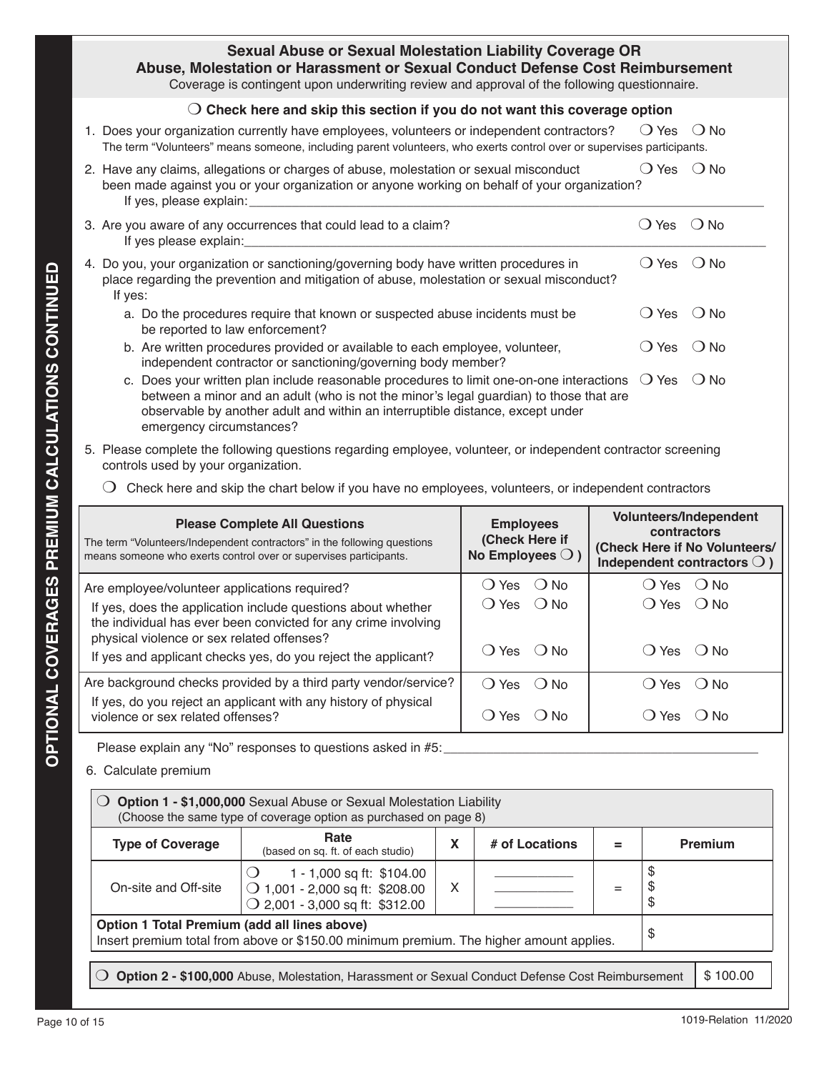| <b>Sexual Abuse or Sexual Molestation Liability Coverage OR</b><br>Abuse, Molestation or Harassment or Sexual Conduct Defense Cost Reimbursement<br>Coverage is contingent upon underwriting review and approval of the following questionnaire. |                |               |
|--------------------------------------------------------------------------------------------------------------------------------------------------------------------------------------------------------------------------------------------------|----------------|---------------|
| Check here and skip this section if you do not want this coverage option                                                                                                                                                                         |                |               |
| 1. Does your organization currently have employees, volunteers or independent contractors?<br>The term "Volunteers" means someone, including parent volunteers, who exerts control over or supervises participants.                              | $\bigcirc$ Yes | $\bigcirc$ No |
| 2. Have any claims, allegations or charges of abuse, molestation or sexual misconduct<br>been made against you or your organization or anyone working on behalf of your organization?<br>If yes, please explain:                                 | $\bigcirc$ Yes | $\bigcirc$ No |
| 3. Are you aware of any occurrences that could lead to a claim?<br>If yes please explain:                                                                                                                                                        | () Yes         | $()$ No       |
| 4. Do you, your organization or sanctioning/governing body have written procedures in<br>place regarding the prevention and mitigation of abuse, molestation or sexual misconduct?<br>If yes:                                                    | ( ) Yes        | $\bigcirc$ No |
| a. Do the procedures require that known or suspected abuse incidents must be<br>be reported to law enforcement?                                                                                                                                  | Yes            | ( ) No        |
| b. Are written procedures provided or available to each employee, volunteer,                                                                                                                                                                     | <b>Yes</b>     | No.           |

- independent contractor or sanctioning/governing body member? c. Does your written plan include reasonable procedures to limit one-on-one interactions  $\bigcirc$  Yes  $\bigcirc$  No between a minor and an adult (who is not the minor's legal guardian) to those that are observable by another adult and within an interruptible distance, except under emergency circumstances?
- 5. Please complete the following questions regarding employee, volunteer, or independent contractor screening controls used by your organization.
	- $\bigcirc$  Check here and skip the chart below if you have no employees, volunteers, or independent contractors

| If yes:<br>be reported to law enforcement?<br>emergency circumstances?<br>controls used by your organization.                                                                                                                                | place regarding the prevention and mitigation of abuse, molestation or sexual misconduct?<br>a. Do the procedures require that known or suspected abuse incidents must be<br>b. Are written procedures provided or available to each employee, volunteer,<br>independent contractor or sanctioning/governing body member?<br>c. Does your written plan include reasonable procedures to limit one-on-one interactions<br>between a minor and an adult (who is not the minor's legal guardian) to those that are<br>observable by another adult and within an interruptible distance, except under<br>5. Please complete the following questions regarding employee, volunteer, or independent contractor screening |                                  |                                                                 |                                  | $\bigcirc$ Yes<br>$\bigcirc$ Yes<br>$\bigcirc$ Yes | $\bigcirc$ No<br>$\bigcirc$ No<br>$\bigcirc$ No                                                 |
|----------------------------------------------------------------------------------------------------------------------------------------------------------------------------------------------------------------------------------------------|--------------------------------------------------------------------------------------------------------------------------------------------------------------------------------------------------------------------------------------------------------------------------------------------------------------------------------------------------------------------------------------------------------------------------------------------------------------------------------------------------------------------------------------------------------------------------------------------------------------------------------------------------------------------------------------------------------------------|----------------------------------|-----------------------------------------------------------------|----------------------------------|----------------------------------------------------|-------------------------------------------------------------------------------------------------|
| $\cup$                                                                                                                                                                                                                                       | Check here and skip the chart below if you have no employees, volunteers, or independent contractors                                                                                                                                                                                                                                                                                                                                                                                                                                                                                                                                                                                                               |                                  |                                                                 |                                  |                                                    |                                                                                                 |
|                                                                                                                                                                                                                                              | <b>Please Complete All Questions</b><br>The term "Volunteers/Independent contractors" in the following questions<br>means someone who exerts control over or supervises participants.                                                                                                                                                                                                                                                                                                                                                                                                                                                                                                                              |                                  | <b>Employees</b><br>(Check Here if<br>No Employees $\bigcirc$ ) |                                  | contractors                                        | Volunteers/Independent<br>(Check Here if No Volunteers/<br>Independent contractors $\bigcirc$ ) |
| Are employee/volunteer applications required?<br>If yes, does the application include questions about whether<br>the individual has ever been convicted for any crime involving                                                              | $\bigcirc$ Yes<br>$\bigcirc$ Yes                                                                                                                                                                                                                                                                                                                                                                                                                                                                                                                                                                                                                                                                                   | $\bigcirc$ No<br>$\bigcirc$ No   |                                                                 | $O$ Yes $O$ No<br>$\bigcirc$ Yes | $\bigcirc$ No                                      |                                                                                                 |
| physical violence or sex related offenses?<br>If yes and applicant checks yes, do you reject the applicant?                                                                                                                                  |                                                                                                                                                                                                                                                                                                                                                                                                                                                                                                                                                                                                                                                                                                                    |                                  | $\bigcirc$ Yes<br>$\bigcirc$ No                                 |                                  | $\bigcirc$ Yes                                     | $\bigcirc$ No                                                                                   |
| violence or sex related offenses?                                                                                                                                                                                                            | Are background checks provided by a third party vendor/service?<br>If yes, do you reject an applicant with any history of physical                                                                                                                                                                                                                                                                                                                                                                                                                                                                                                                                                                                 | $\bigcirc$ Yes<br>$\bigcirc$ Yes | $\bigcirc$ No<br>$\bigcirc$ No                                  |                                  | $\bigcirc$ Yes<br>$\bigcirc$ Yes                   | $\bigcirc$ No<br>$\bigcirc$ No                                                                  |
| Please explain any "No" responses to questions asked in #5:<br>6. Calculate premium<br>Option 1 - \$1,000,000 Sexual Abuse or Sexual Molestation Liability<br>$\bigcirc$<br>(Choose the same type of coverage option as purchased on page 8) |                                                                                                                                                                                                                                                                                                                                                                                                                                                                                                                                                                                                                                                                                                                    |                                  |                                                                 |                                  |                                                    |                                                                                                 |
| <b>Type of Coverage</b>                                                                                                                                                                                                                      | Rate<br>(based on sq. ft. of each studio)                                                                                                                                                                                                                                                                                                                                                                                                                                                                                                                                                                                                                                                                          | X                                | # of Locations                                                  | $=$                              |                                                    | Premium                                                                                         |
| On-site and Off-site                                                                                                                                                                                                                         | 1 - 1,000 sq ft: \$104.00<br>◯ 1,001 - 2,000 sq ft: \$208.00<br>$\bigcirc$ 2,001 - 3,000 sq ft: \$312.00                                                                                                                                                                                                                                                                                                                                                                                                                                                                                                                                                                                                           | X                                |                                                                 | $=$                              | \$<br>\$<br>\$                                     |                                                                                                 |
| Option 1 Total Premium (add all lines above)                                                                                                                                                                                                 | Insert premium total from above or \$150.00 minimum premium. The higher amount applies.                                                                                                                                                                                                                                                                                                                                                                                                                                                                                                                                                                                                                            |                                  |                                                                 |                                  | \$                                                 |                                                                                                 |
|                                                                                                                                                                                                                                              | Option 2 - \$100,000 Abuse, Molestation, Harassment or Sexual Conduct Defense Cost Reimbursement                                                                                                                                                                                                                                                                                                                                                                                                                                                                                                                                                                                                                   |                                  |                                                                 |                                  |                                                    | \$100.00                                                                                        |
| Page 10 of 15                                                                                                                                                                                                                                |                                                                                                                                                                                                                                                                                                                                                                                                                                                                                                                                                                                                                                                                                                                    |                                  |                                                                 |                                  |                                                    | 1019-Relation 11/2020                                                                           |

| Option 1 - \$1,000,000 Sexual Abuse or Sexual Molestation Liability<br>(Choose the same type of coverage option as purchased on page 8)       |                                                                                                          |   |                |  |              |                |
|-----------------------------------------------------------------------------------------------------------------------------------------------|----------------------------------------------------------------------------------------------------------|---|----------------|--|--------------|----------------|
| <b>Type of Coverage</b>                                                                                                                       | Rate<br>(based on sq. ft. of each studio)                                                                | X | # of Locations |  |              | <b>Premium</b> |
| On-site and Off-site                                                                                                                          | 1 - 1,000 sq ft: \$104.00<br>◯ 1,001 - 2,000 sq ft: \$208.00<br>$\bigcirc$ 2,001 - 3,000 sq ft: \$312.00 | X |                |  | Œ<br>S<br>\$ |                |
| Option 1 Total Premium (add all lines above)<br>\$<br>Insert premium total from above or \$150.00 minimum premium. The higher amount applies. |                                                                                                          |   |                |  |              |                |
| \$100.00<br>Option 2 - \$100,000 Abuse, Molestation, Harassment or Sexual Conduct Defense Cost Reimbursement                                  |                                                                                                          |   |                |  |              |                |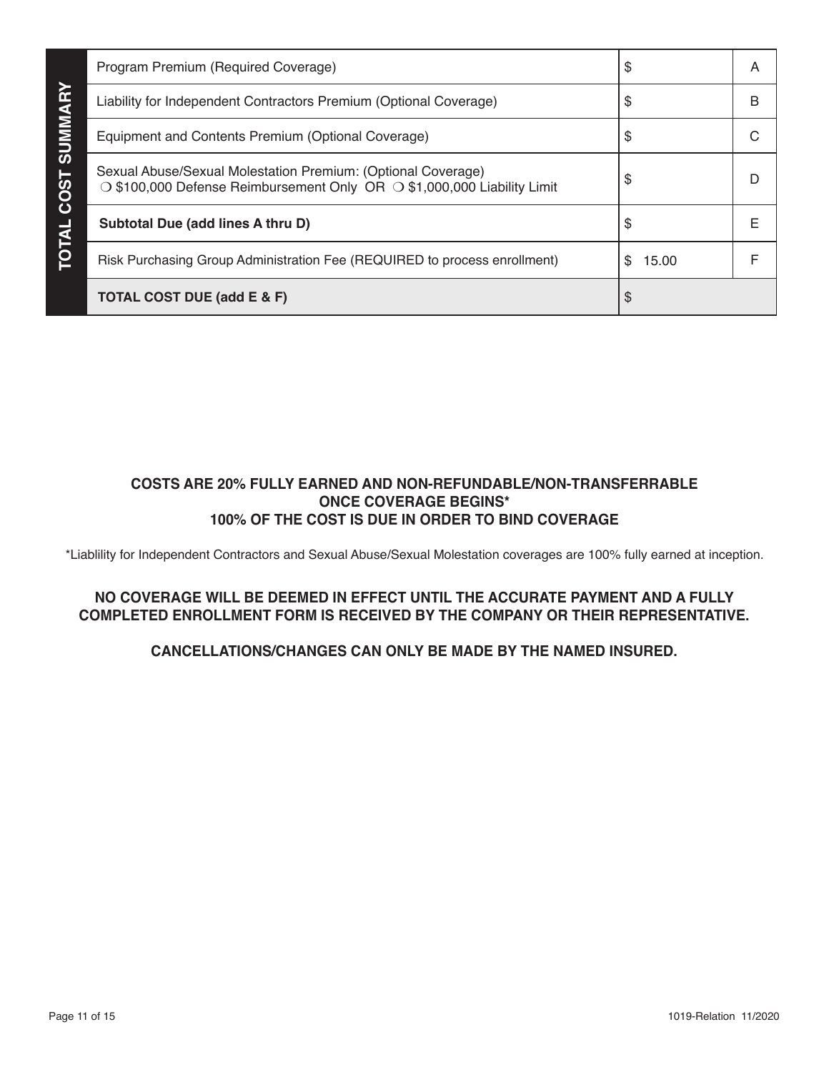|                | Program Premium (Required Coverage)                                                                                                                 | \$           | A |
|----------------|-----------------------------------------------------------------------------------------------------------------------------------------------------|--------------|---|
|                | Liability for Independent Contractors Premium (Optional Coverage)                                                                                   | \$           | В |
| <b>SUMMARY</b> | Equipment and Contents Premium (Optional Coverage)                                                                                                  | S            | C |
| <b>COST</b>    | Sexual Abuse/Sexual Molestation Premium: (Optional Coverage)<br>$\circ$ \$100,000 Defense Reimbursement Only OR $\circ$ \$1,000,000 Liability Limit | \$.          | D |
|                | Subtotal Due (add lines A thru D)                                                                                                                   | \$           | F |
| <b>TOTAL</b>   | Risk Purchasing Group Administration Fee (REQUIRED to process enrollment)                                                                           | 15.00<br>\$. |   |
|                | <b>TOTAL COST DUE (add E &amp; F)</b>                                                                                                               | S            |   |

# **COSTS ARE 20% FULLY EARNED AND NON-REFUNDABLE/NON-TRANSFERRABLE ONCE COVERAGE BEGINS\* 100% OF THE COST IS DUE IN ORDER TO BIND COVERAGE**

\*Liablility for Independent Contractors and Sexual Abuse/Sexual Molestation coverages are 100% fully earned at inception.

# **NO COVERAGE WILL BE DEEMED IN EFFECT UNTIL THE ACCURATE PAYMENT AND A FULLY COMPLETED ENROLLMENT FORM IS RECEIVED BY THE COMPANY OR THEIR REPRESENTATIVE.**

# **CANCELLATIONS/CHANGES CAN ONLY BE MADE BY THE NAMED INSURED.**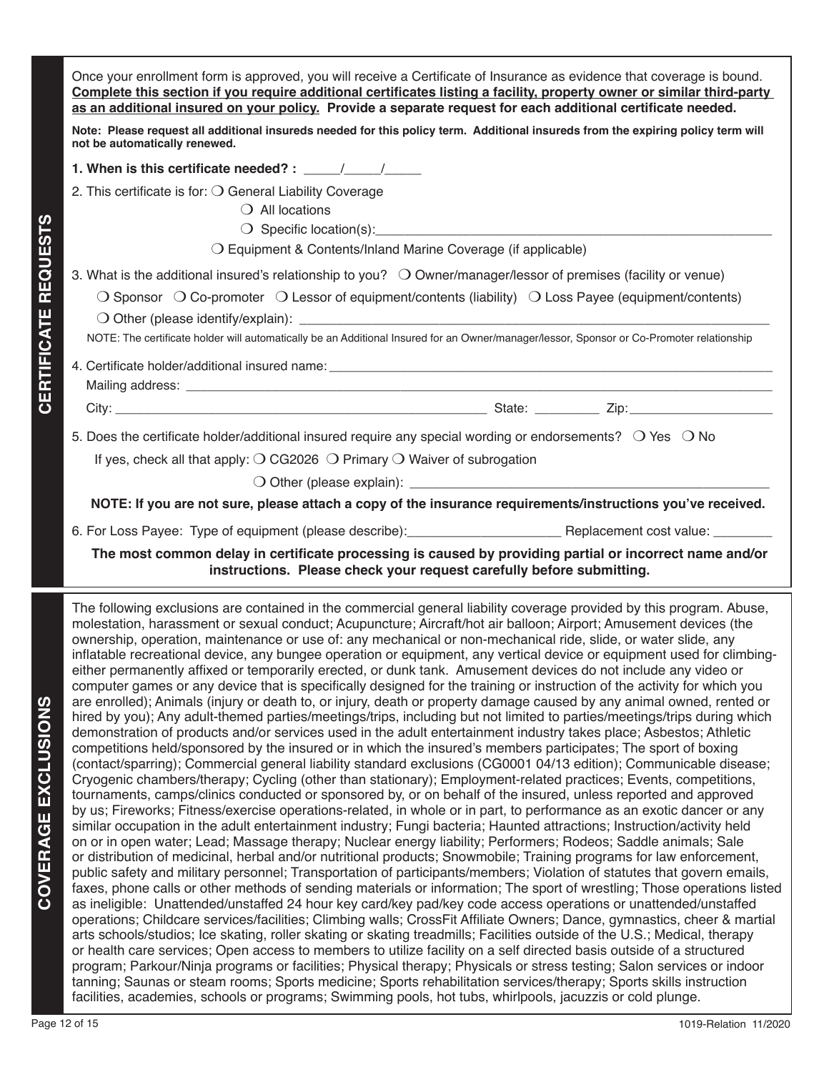Once your enrollment form is approved, you will receive a Certificate of Insurance as evidence that coverage is bound. **Complete this section if you require additional certificates listing a facility, property owner or similar third-party as an additional insured on your policy. Provide a separate request for each additional certificate needed.** 

**Note: Please request all additional insureds needed for this policy term. Additional insureds from the expiring policy term will not be automatically renewed.** 

**1. When is this certificate needed? :** \_\_\_\_\_/\_\_\_\_\_\_/\_\_\_\_\_

2. This certificate is for:  $\bigcirc$  General Liability Coverage

 $\bigcirc$  All locations

 $\bigcirc$  Specific location(s):

 $\bigcirc$  Equipment & Contents/Inland Marine Coverage (if applicable)

3. What is the additional insured's relationship to you?  $\bigcirc$  Owner/manager/lessor of premises (facility or venue)

 $\bigcirc$  Sponsor  $\bigcirc$  Co-promoter  $\bigcirc$  Lessor of equipment/contents (liability)  $\bigcirc$  Loss Payee (equipment/contents)

 $\bigcirc$  Other (please identify/explain):

NOTE: The certificate holder will automatically be an Additional Insured for an Owner/manager/lessor, Sponsor or Co-Promoter relationship

4. Certificate holder/additional insured name: Mailing address:

City: \_\_\_\_\_\_\_\_\_\_\_\_\_\_\_\_\_\_\_\_\_\_\_\_\_\_\_\_\_\_\_\_\_\_\_\_\_\_\_\_\_\_\_\_\_\_\_\_\_\_\_\_ State: \_\_\_\_\_\_\_\_\_ Zip:\_\_\_\_\_\_\_\_\_\_\_\_\_\_\_\_\_\_\_\_

5. Does the certificate holder/additional insured require any special wording or endorsements?  $\circ$  Yes  $\circ$  No

If yes, check all that apply:  $\bigcirc$  CG2026  $\bigcirc$  Primary  $\bigcirc$  Waiver of subrogation

 $\bigcirc$  Other (please explain):

**NOTE: If you are not sure, please attach a copy of the insurance requirements/instructions you've received.**

6. For Loss Payee: Type of equipment (please describe): example and a Replacement cost value:

**The most common delay in certificate processing is caused by providing partial or incorrect name and/or instructions. Please check your request carefully before submitting.**

23<br> **21** Stave in the netititive interaction of the continue of the control of the control of the control of the control of the control of the control of the control of the control of the control of the control of the cont The following exclusions are contained in the commercial general liability coverage provided by this program. Abuse, molestation, harassment or sexual conduct; Acupuncture; Aircraft/hot air balloon; Airport; Amusement devices (the ownership, operation, maintenance or use of: any mechanical or non-mechanical ride, slide, or water slide, any inflatable recreational device, any bungee operation or equipment, any vertical device or equipment used for climbingeither permanently affixed or temporarily erected, or dunk tank. Amusement devices do not include any video or computer games or any device that is specifically designed for the training or instruction of the activity for which you are enrolled); Animals (injury or death to, or injury, death or property damage caused by any animal owned, rented or hired by you); Any adult-themed parties/meetings/trips, including but not limited to parties/meetings/trips during which demonstration of products and/or services used in the adult entertainment industry takes place; Asbestos; Athletic competitions held/sponsored by the insured or in which the insured's members participates; The sport of boxing (contact/sparring); Commercial general liability standard exclusions (CG0001 04/13 edition); Communicable disease; Cryogenic chambers/therapy; Cycling (other than stationary); Employment-related practices; Events, competitions, tournaments, camps/clinics conducted or sponsored by, or on behalf of the insured, unless reported and approved by us; Fireworks; Fitness/exercise operations-related, in whole or in part, to performance as an exotic dancer or any similar occupation in the adult entertainment industry; Fungi bacteria; Haunted attractions; Instruction/activity held on or in open water; Lead; Massage therapy; Nuclear energy liability; Performers; Rodeos; Saddle animals; Sale or distribution of medicinal, herbal and/or nutritional products; Snowmobile; Training programs for law enforcement, public safety and military personnel; Transportation of participants/members; Violation of statutes that govern emails, faxes, phone calls or other methods of sending materials or information; The sport of wrestling; Those operations listed as ineligible: Unattended/unstaffed 24 hour key card/key pad/key code access operations or unattended/unstaffed operations; Childcare services/facilities; Climbing walls; CrossFit Affiliate Owners; Dance, gymnastics, cheer & martial arts schools/studios; Ice skating, roller skating or skating treadmills; Facilities outside of the U.S.; Medical, therapy or health care services; Open access to members to utilize facility on a self directed basis outside of a structured program; Parkour/Ninja programs or facilities; Physical therapy; Physicals or stress testing; Salon services or indoor tanning; Saunas or steam rooms; Sports medicine; Sports rehabilitation services/therapy; Sports skills instruction facilities, academies, schools or programs; Swimming pools, hot tubs, whirlpools, jacuzzis or cold plunge.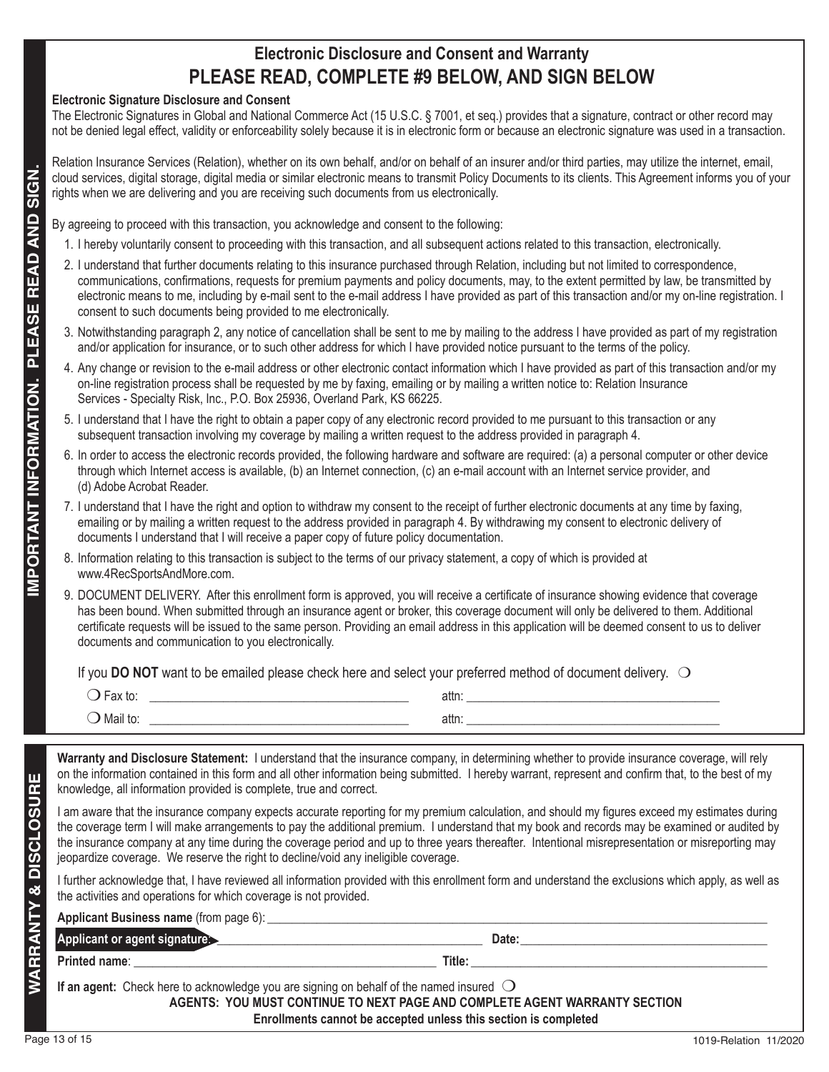# **Electronic Disclosure and Consent and Warranty PLEASE READ, COMPLETE #9 BELOW, AND SIGN BELOW**

#### **Electronic Signature Disclosure and Consent**

The Electronic Signatures in Global and National Commerce Act (15 U.S.C. § 7001, et seq.) provides that a signature, contract or other record may not be denied legal effect, validity or enforceability solely because it is in electronic form or because an electronic signature was used in a transaction.

Relation Insurance Services (Relation), whether on its own behalf, and/or on behalf of an insurer and/or third parties, may utilize the internet, email, cloud services, digital storage, digital media or similar electronic means to transmit Policy Documents to its clients. This Agreement informs you of your rights when we are delivering and you are receiving such documents from us electronically.

By agreeing to proceed with this transaction, you acknowledge and consent to the following:

- 1. I hereby voluntarily consent to proceeding with this transaction, and all subsequent actions related to this transaction, electronically .
- 2. I understand that further documents relating to this insurance purchased through Relation, including but not limited to correspondence, communications, confirmations, requests for premium payments and policy documents, may, to the extent permitted by law, be transmitted by electronic means to me, including by e-mail sent to the e-mail address I have provided as part of this transaction and/or my on-line registration. I consent to such documents being provided to me electronically.
- 3. Notwithstanding paragraph 2, any notice of cancellation shall be sent to me by mailing to the address I have provided as part of my registration and/or application for insurance, or to such other address for which I have provided notice pursuant to the terms of the policy.
- 4. Any change or revision to the e-mail address or other electronic contact information which I have provided as part of this transaction and/or my on-line registration process shall be requested by me by faxing, emailing or by mailing a written notice to: Relation Insurance Services - Specialty Risk, Inc., P.O. Box 25936, Overland Park, KS 66225.
	- 5. I understand that I have the right to obtain a paper copy of any electronic record provided to me pursuant to this transaction or any subsequent transaction involving my coverage by mailing a written request to the address provided in paragraph 4.
	- 6. In order to access the electronic records provided, the following hardware and software are required: (a) a personal computer or other device through which Internet access is available, (b) an Internet connection, (c) an e-mail account with an Internet service provider, and (d) Adobe Acrobat Reader.
	- 7. I understand that I have the right and option to withdraw my consent to the receipt of further electronic documents at any time by faxing, emailing or by mailing a written request to the address provided in paragraph 4. By withdrawing my consent to electronic delivery of documents I understand that I will receive a paper copy of future policy documentation.
	- 8. Information relating to this transaction is subject to the terms of our privacy statement, a copy of which is provided at www.4RecSportsAndMore.com.
	- 9. DOCUMENT DELIVERY. After this enrollment form is approved, you will receive a certificate of insurance showing evidence that coverage has been bound. When submitted through an insurance agent or broker, this coverage document will only be delivered to them. Additional certificate requests will be issued to the same person. Providing an email address in this application will be deemed consent to us to deliver documents and communication to you electronically.

If you DO NOT want to be emailed please check here and select your preferred method of document delivery. O

| $\cdot$ $\vdash$ av to $\cdot$<br>'ax เบ.<br>$\tilde{\phantom{a}}$ | attr  |
|--------------------------------------------------------------------|-------|
| Mail to:<br>◡                                                      | attn: |

**Warranty and Disclosure Statement:** I understand that the insurance company, in determining whether to provide insurance coverage, will rely on the information contained in this form and all other information being submitted. I hereby warrant, represent and confirm that, to the best of my knowledge, all information provided is complete, true and correct.

I am aware that the insurance company expects accurate reporting for my premium calculation, and should my figures exceed my estimates during the coverage term I will make arrangements to pay the additional premium. I understand that my book and records may be examined or audited by the insurance company at any time during the coverage period and up to three years thereafter. Intentional misrepresentation or misreporting may jeopardize coverage. We reserve the right to decline/void any ineligible coverage.

I further acknowledge that, I have reviewed all information provided with this enrollment form and understand the exclusions which apply, as well as the activities and operations for which coverage is not provided.

| <b>Applicant Business name</b> (from page 6):                                                                                                                                                                                       |        |  |
|-------------------------------------------------------------------------------------------------------------------------------------------------------------------------------------------------------------------------------------|--------|--|
| Applicant or agent signature:                                                                                                                                                                                                       | Date:  |  |
| <b>Printed name:</b> The contract of the contract of the contract of the contract of the contract of the contract of the contract of the contract of the contract of the contract of the contract of the contract of the contract o | Title: |  |
| If an agent: Check here to acknowledge you are signing on behalf of the named insured $\bigcirc$<br>AGENTS: YOU MUST CONTINUE TO NEXT PAGE AND COMPLETE AGENT WARRANTY SECTION                                                      |        |  |
| Enrollments cannot be accepted unless this section is completed                                                                                                                                                                     |        |  |

**WARRANTY & DISCLOSURE**

RRANTY & DISCLOS

ш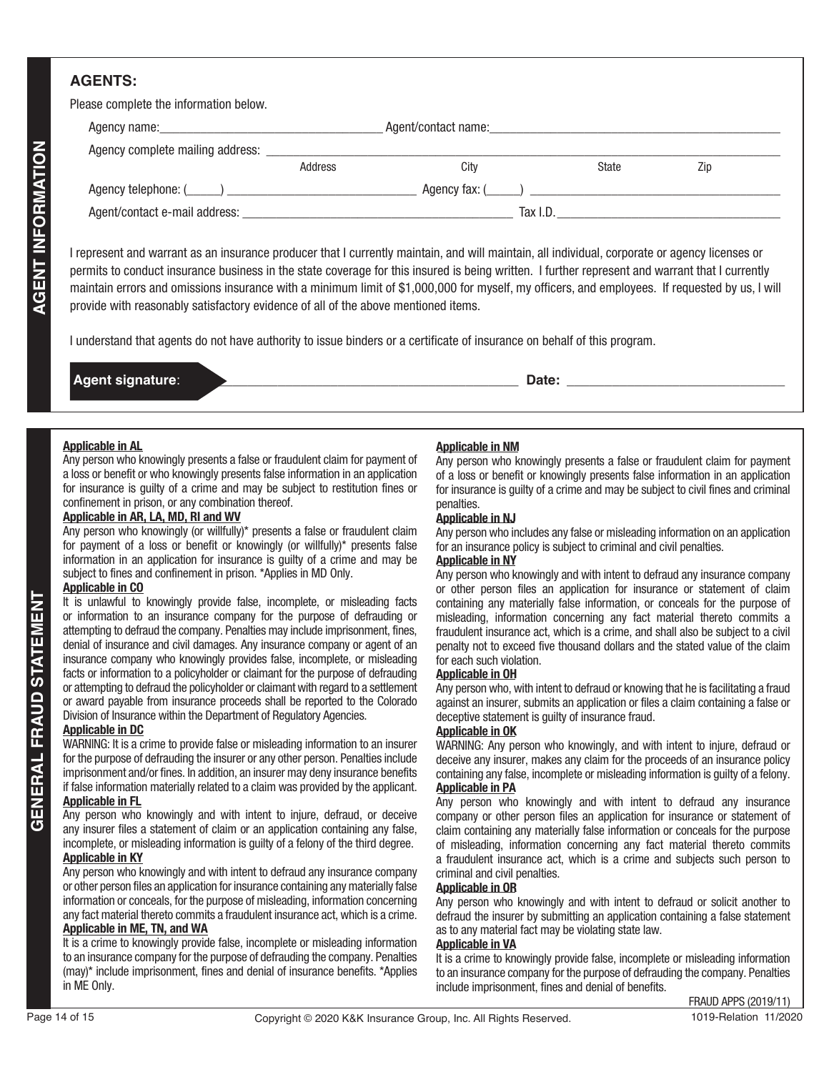# **AGENTS:**

| Please complete the information below. |
|----------------------------------------|
|----------------------------------------|

| <b>AGENT INFORMATION</b><br>Agency complete mailing address: _____<br>City<br>Address<br>State<br>Zip<br>I represent and warrant as an insurance producer that I currently maintain, and will maintain, all individual, corporate or agency licenses or<br>permits to conduct insurance business in the state coverage for this insured is being written. I further represent and warrant that I currently<br>maintain errors and omissions insurance with a minimum limit of \$1,000,000 for myself, my officers, and employees. If requested by us, I will<br>provide with reasonably satisfactory evidence of all of the above mentioned items.<br>I understand that agents do not have authority to issue binders or a certificate of insurance on behalf of this program.<br>Agent signature:<br><b>Applicable in AL</b><br><b>Applicable in NM</b><br>Any person who knowingly presents a false or fraudulent claim for payment of<br>Any person who knowingly presents a false or fraudulent claim for payment<br>a loss or benefit or who knowingly presents false information in an application<br>of a loss or benefit or knowingly presents false information in an application<br>for insurance is guilty of a crime and may be subject to restitution fines or<br>for insurance is guilty of a crime and may be subject to civil fines and criminal<br>confinement in prison, or any combination thereof.<br>penalties.<br>Applicable in AR, LA, MD, RI and WV<br><b>Applicable in NJ</b><br>Any person who knowingly (or willfully)* presents a false or fraudulent claim<br>Any person who includes any false or misleading information on an application<br>for payment of a loss or benefit or knowingly (or willfully)* presents false<br>for an insurance policy is subject to criminal and civil penalties.<br>information in an application for insurance is guilty of a crime and may be<br><b>Applicable in NY</b><br>subject to fines and confinement in prison. *Applies in MD Only.<br>Any person who knowingly and with intent to defraud any insurance company<br><b>Applicable in CO</b><br>or other person files an application for insurance or statement of claim<br>It is unlawful to knowingly provide false, incomplete, or misleading facts<br>containing any materially false information, or conceals for the purpose of<br>or information to an insurance company for the purpose of defrauding or<br>misleading, information concerning any fact material thereto commits a<br>attempting to defraud the company. Penalties may include imprisonment, fines,<br>fraudulent insurance act, which is a crime, and shall also be subject to a civil<br>denial of insurance and civil damages. Any insurance company or agent of an<br>penalty not to exceed five thousand dollars and the stated value of the claim<br>insurance company who knowingly provides false, incomplete, or misleading<br>for each such violation.<br>facts or information to a policyholder or claimant for the purpose of defrauding<br><b>Applicable in OH</b><br>or attempting to defraud the policyholder or claimant with regard to a settlement<br>Any person who, with intent to defraud or knowing that he is facilitating a fraud<br>or award payable from insurance proceeds shall be reported to the Colorado<br>against an insurer, submits an application or files a claim containing a false or<br>Division of Insurance within the Department of Regulatory Agencies.<br>deceptive statement is guilty of insurance fraud.<br><b>Applicable in DC</b><br><b>Applicable in OK</b><br>WARNING: It is a crime to provide false or misleading information to an insurer<br>WARNING: Any person who knowingly, and with intent to injure, defraud or<br>for the purpose of defrauding the insurer or any other person. Penalties include<br>deceive any insurer, makes any claim for the proceeds of an insurance policy<br>imprisonment and/or fines. In addition, an insurer may deny insurance benefits<br>containing any false, incomplete or misleading information is guilty of a felony.<br>if false information materially related to a claim was provided by the applicant.<br><b>Applicable in PA</b><br><b>Applicable in FL</b><br>Any person who knowingly and with intent to defraud any insurance<br>Any person who knowingly and with intent to injure, defraud, or deceive<br>company or other person files an application for insurance or statement of<br>any insurer files a statement of claim or an application containing any false,<br>claim containing any materially false information or conceals for the purpose<br>incomplete, or misleading information is guilty of a felony of the third degree.<br>of misleading, information concerning any fact material thereto commits<br><b>Applicable in KY</b><br>a fraudulent insurance act, which is a crime and subjects such person to<br>Any person who knowingly and with intent to defraud any insurance company<br>criminal and civil penalties.<br>or other person files an application for insurance containing any materially false<br><b>Applicable in OR</b><br>information or conceals, for the purpose of misleading, information concerning<br>Any person who knowingly and with intent to defraud or solicit another to<br>any fact material thereto commits a fraudulent insurance act, which is a crime.<br>defraud the insurer by submitting an application containing a false statement<br><b>Applicable in ME, TN, and WA</b><br>as to any material fact may be violating state law.<br>It is a crime to knowingly provide false, incomplete or misleading information<br><b>Applicable in VA</b><br>to an insurance company for the purpose of defrauding the company. Penalties<br>It is a crime to knowingly provide false, incomplete or misleading information<br>(may)* include imprisonment, fines and denial of insurance benefits. *Applies<br>to an insurance company for the purpose of defrauding the company. Penalties<br>include imprisonment, fines and denial of benefits. |             |  |  |
|--------------------------------------------------------------------------------------------------------------------------------------------------------------------------------------------------------------------------------------------------------------------------------------------------------------------------------------------------------------------------------------------------------------------------------------------------------------------------------------------------------------------------------------------------------------------------------------------------------------------------------------------------------------------------------------------------------------------------------------------------------------------------------------------------------------------------------------------------------------------------------------------------------------------------------------------------------------------------------------------------------------------------------------------------------------------------------------------------------------------------------------------------------------------------------------------------------------------------------------------------------------------------------------------------------------------------------------------------------------------------------------------------------------------------------------------------------------------------------------------------------------------------------------------------------------------------------------------------------------------------------------------------------------------------------------------------------------------------------------------------------------------------------------------------------------------------------------------------------------------------------------------------------------------------------------------------------------------------------------------------------------------------------------------------------------------------------------------------------------------------------------------------------------------------------------------------------------------------------------------------------------------------------------------------------------------------------------------------------------------------------------------------------------------------------------------------------------------------------------------------------------------------------------------------------------------------------------------------------------------------------------------------------------------------------------------------------------------------------------------------------------------------------------------------------------------------------------------------------------------------------------------------------------------------------------------------------------------------------------------------------------------------------------------------------------------------------------------------------------------------------------------------------------------------------------------------------------------------------------------------------------------------------------------------------------------------------------------------------------------------------------------------------------------------------------------------------------------------------------------------------------------------------------------------------------------------------------------------------------------------------------------------------------------------------------------------------------------------------------------------------------------------------------------------------------------------------------------------------------------------------------------------------------------------------------------------------------------------------------------------------------------------------------------------------------------------------------------------------------------------------------------------------------------------------------------------------------------------------------------------------------------------------------------------------------------------------------------------------------------------------------------------------------------------------------------------------------------------------------------------------------------------------------------------------------------------------------------------------------------------------------------------------------------------------------------------------------------------------------------------------------------------------------------------------------------------------------------------------------------------------------------------------------------------------------------------------------------------------------------------------------------------------------------------------------------------------------------------------------------------------------------------------------------------------------------------------------------------------------------------------------------------------------------------------------------------------------------------------------------------------------------------------------------------------------------------------------------------------------------------------------------------------------------------------------------------------------------------------------------------------------------------------------------------------------------------------------------------------------------------------------------------------------------------------------------------------------------------------------------------------------------------------------------------------------------------------------------------------------------------------------------------------------------------------------------------------------------------------------------|-------------|--|--|
|                                                                                                                                                                                                                                                                                                                                                                                                                                                                                                                                                                                                                                                                                                                                                                                                                                                                                                                                                                                                                                                                                                                                                                                                                                                                                                                                                                                                                                                                                                                                                                                                                                                                                                                                                                                                                                                                                                                                                                                                                                                                                                                                                                                                                                                                                                                                                                                                                                                                                                                                                                                                                                                                                                                                                                                                                                                                                                                                                                                                                                                                                                                                                                                                                                                                                                                                                                                                                                                                                                                                                                                                                                                                                                                                                                                                                                                                                                                                                                                                                                                                                                                                                                                                                                                                                                                                                                                                                                                                                                                                                                                                                                                                                                                                                                                                                                                                                                                                                                                                                                                                                                                                                                                                                                                                                                                                                                                                                                                                                                                                                                                                                                                                                                                                                                                                                                                                                                                                                                                                                                                                                                                    |             |  |  |
|                                                                                                                                                                                                                                                                                                                                                                                                                                                                                                                                                                                                                                                                                                                                                                                                                                                                                                                                                                                                                                                                                                                                                                                                                                                                                                                                                                                                                                                                                                                                                                                                                                                                                                                                                                                                                                                                                                                                                                                                                                                                                                                                                                                                                                                                                                                                                                                                                                                                                                                                                                                                                                                                                                                                                                                                                                                                                                                                                                                                                                                                                                                                                                                                                                                                                                                                                                                                                                                                                                                                                                                                                                                                                                                                                                                                                                                                                                                                                                                                                                                                                                                                                                                                                                                                                                                                                                                                                                                                                                                                                                                                                                                                                                                                                                                                                                                                                                                                                                                                                                                                                                                                                                                                                                                                                                                                                                                                                                                                                                                                                                                                                                                                                                                                                                                                                                                                                                                                                                                                                                                                                                                    |             |  |  |
|                                                                                                                                                                                                                                                                                                                                                                                                                                                                                                                                                                                                                                                                                                                                                                                                                                                                                                                                                                                                                                                                                                                                                                                                                                                                                                                                                                                                                                                                                                                                                                                                                                                                                                                                                                                                                                                                                                                                                                                                                                                                                                                                                                                                                                                                                                                                                                                                                                                                                                                                                                                                                                                                                                                                                                                                                                                                                                                                                                                                                                                                                                                                                                                                                                                                                                                                                                                                                                                                                                                                                                                                                                                                                                                                                                                                                                                                                                                                                                                                                                                                                                                                                                                                                                                                                                                                                                                                                                                                                                                                                                                                                                                                                                                                                                                                                                                                                                                                                                                                                                                                                                                                                                                                                                                                                                                                                                                                                                                                                                                                                                                                                                                                                                                                                                                                                                                                                                                                                                                                                                                                                                                    |             |  |  |
|                                                                                                                                                                                                                                                                                                                                                                                                                                                                                                                                                                                                                                                                                                                                                                                                                                                                                                                                                                                                                                                                                                                                                                                                                                                                                                                                                                                                                                                                                                                                                                                                                                                                                                                                                                                                                                                                                                                                                                                                                                                                                                                                                                                                                                                                                                                                                                                                                                                                                                                                                                                                                                                                                                                                                                                                                                                                                                                                                                                                                                                                                                                                                                                                                                                                                                                                                                                                                                                                                                                                                                                                                                                                                                                                                                                                                                                                                                                                                                                                                                                                                                                                                                                                                                                                                                                                                                                                                                                                                                                                                                                                                                                                                                                                                                                                                                                                                                                                                                                                                                                                                                                                                                                                                                                                                                                                                                                                                                                                                                                                                                                                                                                                                                                                                                                                                                                                                                                                                                                                                                                                                                                    |             |  |  |
| <b>STATEMENT</b><br><b>GENERAL FRAUD</b>                                                                                                                                                                                                                                                                                                                                                                                                                                                                                                                                                                                                                                                                                                                                                                                                                                                                                                                                                                                                                                                                                                                                                                                                                                                                                                                                                                                                                                                                                                                                                                                                                                                                                                                                                                                                                                                                                                                                                                                                                                                                                                                                                                                                                                                                                                                                                                                                                                                                                                                                                                                                                                                                                                                                                                                                                                                                                                                                                                                                                                                                                                                                                                                                                                                                                                                                                                                                                                                                                                                                                                                                                                                                                                                                                                                                                                                                                                                                                                                                                                                                                                                                                                                                                                                                                                                                                                                                                                                                                                                                                                                                                                                                                                                                                                                                                                                                                                                                                                                                                                                                                                                                                                                                                                                                                                                                                                                                                                                                                                                                                                                                                                                                                                                                                                                                                                                                                                                                                                                                                                                                           |             |  |  |
| <b>FRAUD APPS (2019/11)</b>                                                                                                                                                                                                                                                                                                                                                                                                                                                                                                                                                                                                                                                                                                                                                                                                                                                                                                                                                                                                                                                                                                                                                                                                                                                                                                                                                                                                                                                                                                                                                                                                                                                                                                                                                                                                                                                                                                                                                                                                                                                                                                                                                                                                                                                                                                                                                                                                                                                                                                                                                                                                                                                                                                                                                                                                                                                                                                                                                                                                                                                                                                                                                                                                                                                                                                                                                                                                                                                                                                                                                                                                                                                                                                                                                                                                                                                                                                                                                                                                                                                                                                                                                                                                                                                                                                                                                                                                                                                                                                                                                                                                                                                                                                                                                                                                                                                                                                                                                                                                                                                                                                                                                                                                                                                                                                                                                                                                                                                                                                                                                                                                                                                                                                                                                                                                                                                                                                                                                                                                                                                                                        | in ME Only. |  |  |

| Ag | .<br>- - |
|----|----------|
|    |          |

#### **Applicable in AL**

#### **Applicable in AR, LA, MD, RI and WV**

#### **Applicable in CO**

#### **Applicable in DC**

#### **Applicable in FL**

#### It is a crime to knowingly provide false, incomplete or misleading information to an insurance company for the purpose of defrauding the company. Penalties (may)\* include imprisonment, fines and denial of insurance benefits. \*Applies in ME Only.

#### **Applicable in NM**

#### **Applicable in NJ**

#### **Applicable in NY**

#### **Applicable in OH**

#### **Applicable in OK**

#### **Applicable in OR**

#### **Applicable in VA**